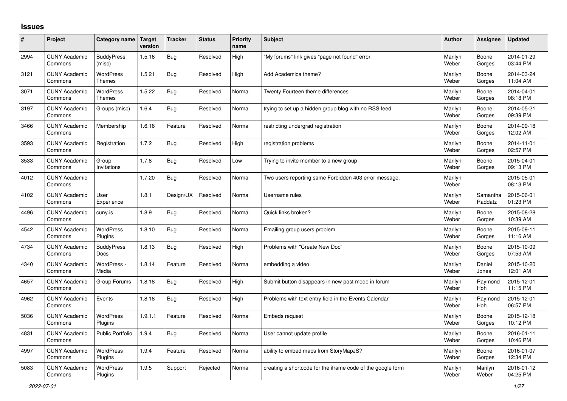## **Issues**

| #    | Project                         | Category name                    | Target<br>version | <b>Tracker</b> | <b>Status</b> | Priority<br>name | <b>Subject</b>                                              | <b>Author</b>    | Assignee            | <b>Updated</b>         |
|------|---------------------------------|----------------------------------|-------------------|----------------|---------------|------------------|-------------------------------------------------------------|------------------|---------------------|------------------------|
| 2994 | <b>CUNY Academic</b><br>Commons | <b>BuddyPress</b><br>(misc)      | 1.5.16            | <b>Bug</b>     | Resolved      | High             | "My forums" link gives "page not found" error               | Marilyn<br>Weber | Boone<br>Gorges     | 2014-01-29<br>03:44 PM |
| 3121 | <b>CUNY Academic</b><br>Commons | WordPress<br>Themes              | 1.5.21            | Bug            | Resolved      | High             | Add Academica theme?                                        | Marilyn<br>Weber | Boone<br>Gorges     | 2014-03-24<br>11:04 AM |
| 3071 | <b>CUNY Academic</b><br>Commons | <b>WordPress</b><br>Themes       | 1.5.22            | Bug            | Resolved      | Normal           | Twenty Fourteen theme differences                           | Marilyn<br>Weber | Boone<br>Gorges     | 2014-04-01<br>08:18 PM |
| 3197 | <b>CUNY Academic</b><br>Commons | Groups (misc)                    | 1.6.4             | <b>Bug</b>     | Resolved      | Normal           | trying to set up a hidden group blog with no RSS feed       | Marilyn<br>Weber | Boone<br>Gorges     | 2014-05-21<br>09:39 PM |
| 3466 | <b>CUNY Academic</b><br>Commons | Membership                       | 1.6.16            | Feature        | Resolved      | Normal           | restricting undergrad registration                          | Marilyn<br>Weber | Boone<br>Gorges     | 2014-09-18<br>12:02 AM |
| 3593 | <b>CUNY Academic</b><br>Commons | Registration                     | 1.7.2             | Bug            | Resolved      | High             | registration problems                                       | Marilyn<br>Weber | Boone<br>Gorges     | 2014-11-01<br>02:57 PM |
| 3533 | <b>CUNY Academic</b><br>Commons | Group<br>Invitations             | 1.7.8             | Bug            | Resolved      | Low              | Trying to invite member to a new group                      | Marilyn<br>Weber | Boone<br>Gorges     | 2015-04-01<br>09:13 PM |
| 4012 | <b>CUNY Academic</b><br>Commons |                                  | 1.7.20            | Bug            | Resolved      | Normal           | Two users reporting same Forbidden 403 error message.       | Marilyn<br>Weber |                     | 2015-05-01<br>08:13 PM |
| 4102 | <b>CUNY Academic</b><br>Commons | User<br>Experience               | 1.8.1             | Design/UX      | Resolved      | Normal           | Username rules                                              | Marilyn<br>Weber | Samantha<br>Raddatz | 2015-06-01<br>01:23 PM |
| 4496 | <b>CUNY Academic</b><br>Commons | cuny.is                          | 1.8.9             | Bug            | Resolved      | Normal           | Quick links broken?                                         | Marilyn<br>Weber | Boone<br>Gorges     | 2015-08-28<br>10:39 AM |
| 4542 | <b>CUNY Academic</b><br>Commons | WordPress<br>Plugins             | 1.8.10            | <b>Bug</b>     | Resolved      | Normal           | Emailing group users problem                                | Marilyn<br>Weber | Boone<br>Gorges     | 2015-09-11<br>11:16 AM |
| 4734 | <b>CUNY Academic</b><br>Commons | <b>BuddyPress</b><br><b>Docs</b> | 1.8.13            | <b>Bug</b>     | Resolved      | High             | Problems with "Create New Doc"                              | Marilyn<br>Weber | Boone<br>Gorges     | 2015-10-09<br>07:53 AM |
| 4340 | <b>CUNY Academic</b><br>Commons | WordPress -<br>Media             | 1.8.14            | Feature        | Resolved      | Normal           | embedding a video                                           | Marilyn<br>Weber | Daniel<br>Jones     | 2015-10-20<br>12:01 AM |
| 4657 | <b>CUNY Academic</b><br>Commons | Group Forums                     | 1.8.18            | Bug            | Resolved      | High             | Submit button disappears in new post mode in forum          | Marilyn<br>Weber | Raymond<br>Hoh      | 2015-12-01<br>11:15 PM |
| 4962 | <b>CUNY Academic</b><br>Commons | Events                           | 1.8.18            | <b>Bug</b>     | Resolved      | High             | Problems with text entry field in the Events Calendar       | Marilyn<br>Weber | Raymond<br>Hoh      | 2015-12-01<br>06:57 PM |
| 5036 | <b>CUNY Academic</b><br>Commons | WordPress<br>Plugins             | 1.9.1.1           | Feature        | Resolved      | Normal           | Embeds request                                              | Marilyn<br>Weber | Boone<br>Gorges     | 2015-12-18<br>10:12 PM |
| 4831 | <b>CUNY Academic</b><br>Commons | <b>Public Portfolio</b>          | 1.9.4             | Bug            | Resolved      | Normal           | User cannot update profile                                  | Marilyn<br>Weber | Boone<br>Gorges     | 2016-01-11<br>10:46 PM |
| 4997 | <b>CUNY Academic</b><br>Commons | WordPress<br>Plugins             | 1.9.4             | Feature        | Resolved      | Normal           | ability to embed maps from StoryMapJS?                      | Marilyn<br>Weber | Boone<br>Gorges     | 2016-01-07<br>12:34 PM |
| 5083 | <b>CUNY Academic</b><br>Commons | <b>WordPress</b><br>Plugins      | 1.9.5             | Support        | Rejected      | Normal           | creating a shortcode for the iframe code of the google form | Marilyn<br>Weber | Marilyn<br>Weber    | 2016-01-12<br>04:25 PM |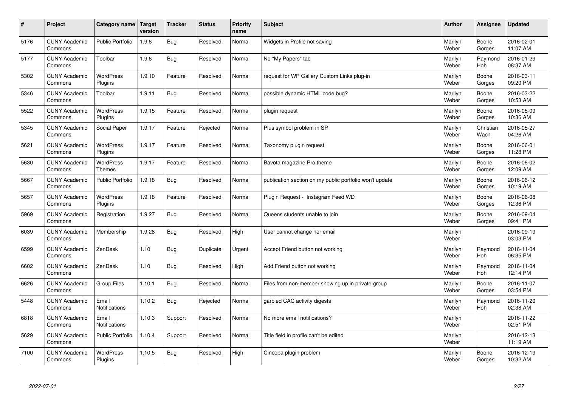| $\vert$ # | Project                         | Category name               | Target<br>version | <b>Tracker</b> | <b>Status</b> | <b>Priority</b><br>name | <b>Subject</b>                                          | <b>Author</b>    | Assignee              | <b>Updated</b>         |
|-----------|---------------------------------|-----------------------------|-------------------|----------------|---------------|-------------------------|---------------------------------------------------------|------------------|-----------------------|------------------------|
| 5176      | <b>CUNY Academic</b><br>Commons | <b>Public Portfolio</b>     | 1.9.6             | Bug            | Resolved      | Normal                  | Widgets in Profile not saving                           | Marilyn<br>Weber | Boone<br>Gorges       | 2016-02-01<br>11:07 AM |
| 5177      | <b>CUNY Academic</b><br>Commons | Toolbar                     | 1.9.6             | <b>Bug</b>     | Resolved      | Normal                  | No "My Papers" tab                                      | Marilyn<br>Weber | Raymond<br>Hoh        | 2016-01-29<br>08:37 AM |
| 5302      | <b>CUNY Academic</b><br>Commons | <b>WordPress</b><br>Plugins | 1.9.10            | Feature        | Resolved      | Normal                  | request for WP Gallery Custom Links plug-in             | Marilyn<br>Weber | Boone<br>Gorges       | 2016-03-11<br>09:20 PM |
| 5346      | <b>CUNY Academic</b><br>Commons | Toolbar                     | 1.9.11            | <b>Bug</b>     | Resolved      | Normal                  | possible dynamic HTML code bug?                         | Marilyn<br>Weber | Boone<br>Gorges       | 2016-03-22<br>10:53 AM |
| 5522      | <b>CUNY Academic</b><br>Commons | WordPress<br>Plugins        | 1.9.15            | Feature        | Resolved      | Normal                  | plugin request                                          | Marilyn<br>Weber | Boone<br>Gorges       | 2016-05-09<br>10:36 AM |
| 5345      | <b>CUNY Academic</b><br>Commons | Social Paper                | 1.9.17            | Feature        | Rejected      | Normal                  | Plus symbol problem in SP                               | Marilyn<br>Weber | Christian<br>Wach     | 2016-05-27<br>04:26 AM |
| 5621      | <b>CUNY Academic</b><br>Commons | WordPress<br>Plugins        | 1.9.17            | Feature        | Resolved      | Normal                  | Taxonomy plugin request                                 | Marilyn<br>Weber | Boone<br>Gorges       | 2016-06-01<br>11:28 PM |
| 5630      | <b>CUNY Academic</b><br>Commons | WordPress<br><b>Themes</b>  | 1.9.17            | Feature        | Resolved      | Normal                  | Bavota magazine Pro theme                               | Marilyn<br>Weber | Boone<br>Gorges       | 2016-06-02<br>12:09 AM |
| 5667      | <b>CUNY Academic</b><br>Commons | <b>Public Portfolio</b>     | 1.9.18            | <b>Bug</b>     | Resolved      | Normal                  | publication section on my public portfolio won't update | Marilyn<br>Weber | Boone<br>Gorges       | 2016-06-12<br>10:19 AM |
| 5657      | <b>CUNY Academic</b><br>Commons | WordPress<br>Plugins        | 1.9.18            | Feature        | Resolved      | Normal                  | Plugin Request - Instagram Feed WD                      | Marilyn<br>Weber | Boone<br>Gorges       | 2016-06-08<br>12:36 PM |
| 5969      | <b>CUNY Academic</b><br>Commons | Registration                | 1.9.27            | Bug            | Resolved      | Normal                  | Queens students unable to join                          | Marilyn<br>Weber | Boone<br>Gorges       | 2016-09-04<br>09:41 PM |
| 6039      | <b>CUNY Academic</b><br>Commons | Membership                  | 1.9.28            | Bug            | Resolved      | High                    | User cannot change her email                            | Marilyn<br>Weber |                       | 2016-09-19<br>03:03 PM |
| 6599      | <b>CUNY Academic</b><br>Commons | ZenDesk                     | 1.10              | Bug            | Duplicate     | Urgent                  | Accept Friend button not working                        | Marilyn<br>Weber | Raymond<br><b>Hoh</b> | 2016-11-04<br>06:35 PM |
| 6602      | <b>CUNY Academic</b><br>Commons | ZenDesk                     | 1.10              | Bug            | Resolved      | High                    | Add Friend button not working                           | Marilyn<br>Weber | Raymond<br>Hoh        | 2016-11-04<br>12:14 PM |
| 6626      | <b>CUNY Academic</b><br>Commons | <b>Group Files</b>          | 1.10.1            | Bug            | Resolved      | Normal                  | Files from non-member showing up in private group       | Marilyn<br>Weber | Boone<br>Gorges       | 2016-11-07<br>03:54 PM |
| 5448      | <b>CUNY Academic</b><br>Commons | Email<br>Notifications      | 1.10.2            | <b>Bug</b>     | Rejected      | Normal                  | garbled CAC activity digests                            | Marilyn<br>Weber | Raymond<br>Hoh        | 2016-11-20<br>02:38 AM |
| 6818      | <b>CUNY Academic</b><br>Commons | Email<br>Notifications      | 1.10.3            | Support        | Resolved      | Normal                  | No more email notifications?                            | Marilyn<br>Weber |                       | 2016-11-22<br>02:51 PM |
| 5629      | <b>CUNY Academic</b><br>Commons | <b>Public Portfolio</b>     | 1.10.4            | Support        | Resolved      | Normal                  | Title field in profile can't be edited                  | Marilyn<br>Weber |                       | 2016-12-13<br>11:19 AM |
| 7100      | <b>CUNY Academic</b><br>Commons | <b>WordPress</b><br>Plugins | 1.10.5            | Bug            | Resolved      | High                    | Cincopa plugin problem                                  | Marilyn<br>Weber | Boone<br>Gorges       | 2016-12-19<br>10:32 AM |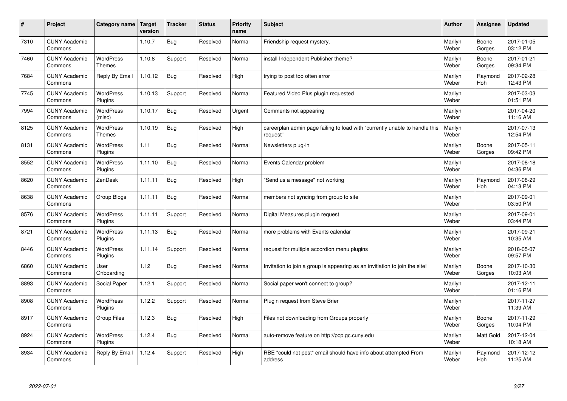| #    | Project                         | Category name                     | Target<br>version | <b>Tracker</b> | <b>Status</b> | <b>Priority</b><br>name | <b>Subject</b>                                                                          | <b>Author</b>    | Assignee              | <b>Updated</b>         |
|------|---------------------------------|-----------------------------------|-------------------|----------------|---------------|-------------------------|-----------------------------------------------------------------------------------------|------------------|-----------------------|------------------------|
| 7310 | <b>CUNY Academic</b><br>Commons |                                   | 1.10.7            | Bug            | Resolved      | Normal                  | Friendship request mystery.                                                             | Marilyn<br>Weber | Boone<br>Gorges       | 2017-01-05<br>03:12 PM |
| 7460 | <b>CUNY Academic</b><br>Commons | <b>WordPress</b><br><b>Themes</b> | 1.10.8            | Support        | Resolved      | Normal                  | install Independent Publisher theme?                                                    | Marilyn<br>Weber | Boone<br>Gorges       | 2017-01-21<br>09:34 PM |
| 7684 | <b>CUNY Academic</b><br>Commons | Reply By Email                    | 1.10.12           | Bug            | Resolved      | High                    | trying to post too often error                                                          | Marilyn<br>Weber | Raymond<br><b>Hoh</b> | 2017-02-28<br>12:43 PM |
| 7745 | <b>CUNY Academic</b><br>Commons | <b>WordPress</b><br>Plugins       | 1.10.13           | Support        | Resolved      | Normal                  | Featured Video Plus plugin requested                                                    | Marilyn<br>Weber |                       | 2017-03-03<br>01:51 PM |
| 7994 | <b>CUNY Academic</b><br>Commons | <b>WordPress</b><br>(misc)        | 1.10.17           | <b>Bug</b>     | Resolved      | Urgent                  | Comments not appearing                                                                  | Marilyn<br>Weber |                       | 2017-04-20<br>11:16 AM |
| 8125 | <b>CUNY Academic</b><br>Commons | WordPress<br><b>Themes</b>        | 1.10.19           | <b>Bug</b>     | Resolved      | High                    | careerplan admin page failing to load with "currently unable to handle this<br>reauest" | Marilyn<br>Weber |                       | 2017-07-13<br>12:54 PM |
| 8131 | <b>CUNY Academic</b><br>Commons | <b>WordPress</b><br>Plugins       | 1.11              | Bug            | Resolved      | Normal                  | Newsletters plug-in                                                                     | Marilyn<br>Weber | Boone<br>Gorges       | 2017-05-11<br>09:42 PM |
| 8552 | <b>CUNY Academic</b><br>Commons | WordPress<br>Plugins              | 1.11.10           | <b>Bug</b>     | Resolved      | Normal                  | Events Calendar problem                                                                 | Marilyn<br>Weber |                       | 2017-08-18<br>04:36 PM |
| 8620 | <b>CUNY Academic</b><br>Commons | ZenDesk                           | 1.11.11           | Bug            | Resolved      | High                    | "Send us a message" not working                                                         | Marilyn<br>Weber | Raymond<br><b>Hoh</b> | 2017-08-29<br>04:13 PM |
| 8638 | <b>CUNY Academic</b><br>Commons | Group Blogs                       | 1.11.11           | <b>Bug</b>     | Resolved      | Normal                  | members not syncing from group to site                                                  | Marilyn<br>Weber |                       | 2017-09-01<br>03:50 PM |
| 8576 | <b>CUNY Academic</b><br>Commons | WordPress<br>Plugins              | 1.11.11           | Support        | Resolved      | Normal                  | Digital Measures plugin request                                                         | Marilyn<br>Weber |                       | 2017-09-01<br>03:44 PM |
| 8721 | <b>CUNY Academic</b><br>Commons | WordPress<br>Plugins              | 1.11.13           | <b>Bug</b>     | Resolved      | Normal                  | more problems with Events calendar                                                      | Marilyn<br>Weber |                       | 2017-09-21<br>10:35 AM |
| 8446 | <b>CUNY Academic</b><br>Commons | WordPress<br>Plugins              | 1.11.14           | Support        | Resolved      | Normal                  | request for multiple accordion menu plugins                                             | Marilyn<br>Weber |                       | 2018-05-07<br>09:57 PM |
| 6860 | <b>CUNY Academic</b><br>Commons | User<br>Onboarding                | 1.12              | Bug            | Resolved      | Normal                  | Invitation to join a group is appearing as an invitiation to join the site!             | Marilyn<br>Weber | Boone<br>Gorges       | 2017-10-30<br>10:03 AM |
| 8893 | <b>CUNY Academic</b><br>Commons | Social Paper                      | 1.12.1            | Support        | Resolved      | Normal                  | Social paper won't connect to group?                                                    | Marilyn<br>Weber |                       | 2017-12-11<br>01:16 PM |
| 8908 | <b>CUNY Academic</b><br>Commons | <b>WordPress</b><br>Plugins       | 1.12.2            | Support        | Resolved      | Normal                  | Plugin request from Steve Brier                                                         | Marilyn<br>Weber |                       | 2017-11-27<br>11:39 AM |
| 8917 | <b>CUNY Academic</b><br>Commons | Group Files                       | 1.12.3            | Bug            | Resolved      | High                    | Files not downloading from Groups properly                                              | Marilyn<br>Weber | Boone<br>Gorges       | 2017-11-29<br>10:04 PM |
| 8924 | <b>CUNY Academic</b><br>Commons | WordPress<br>Plugins              | 1.12.4            | Bug            | Resolved      | Normal                  | auto-remove feature on http://pcp.gc.cuny.edu                                           | Marilyn<br>Weber | Matt Gold             | 2017-12-04<br>10:18 AM |
| 8934 | <b>CUNY Academic</b><br>Commons | Reply By Email                    | 1.12.4            | Support        | Resolved      | High                    | RBE "could not post" email should have info about attempted From<br>address             | Marilyn<br>Weber | Raymond<br>Hoh        | 2017-12-12<br>11:25 AM |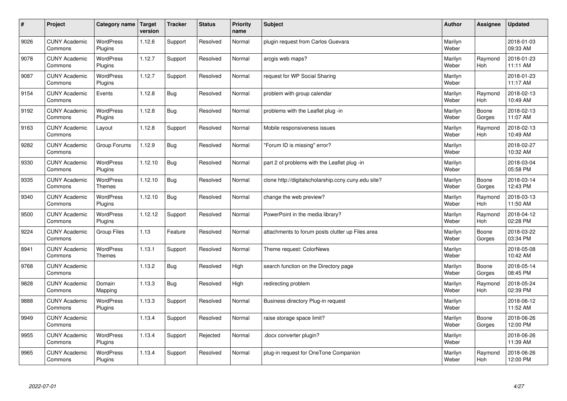| $\vert$ # | Project                         | Category name                     | <b>Target</b><br>version | <b>Tracker</b> | <b>Status</b> | <b>Priority</b><br>name | <b>Subject</b>                                      | <b>Author</b>    | Assignee              | <b>Updated</b>         |
|-----------|---------------------------------|-----------------------------------|--------------------------|----------------|---------------|-------------------------|-----------------------------------------------------|------------------|-----------------------|------------------------|
| 9026      | <b>CUNY Academic</b><br>Commons | <b>WordPress</b><br>Plugins       | 1.12.6                   | Support        | Resolved      | Normal                  | plugin request from Carlos Guevara                  | Marilyn<br>Weber |                       | 2018-01-03<br>09:33 AM |
| 9078      | <b>CUNY Academic</b><br>Commons | WordPress<br>Plugins              | 1.12.7                   | Support        | Resolved      | Normal                  | arcgis web maps?                                    | Marilyn<br>Weber | Raymond<br>Hoh        | 2018-01-23<br>11:11 AM |
| 9087      | <b>CUNY Academic</b><br>Commons | <b>WordPress</b><br>Plugins       | 1.12.7                   | Support        | Resolved      | Normal                  | request for WP Social Sharing                       | Marilyn<br>Weber |                       | 2018-01-23<br>11:17 AM |
| 9154      | <b>CUNY Academic</b><br>Commons | Events                            | 1.12.8                   | Bug            | Resolved      | Normal                  | problem with group calendar                         | Marilyn<br>Weber | Raymond<br><b>Hoh</b> | 2018-02-13<br>10:49 AM |
| 9192      | <b>CUNY Academic</b><br>Commons | <b>WordPress</b><br>Plugins       | 1.12.8                   | Bug            | Resolved      | Normal                  | problems with the Leaflet plug -in                  | Marilyn<br>Weber | Boone<br>Gorges       | 2018-02-13<br>11:07 AM |
| 9163      | <b>CUNY Academic</b><br>Commons | Layout                            | 1.12.8                   | Support        | Resolved      | Normal                  | Mobile responsiveness issues                        | Marilyn<br>Weber | Raymond<br><b>Hoh</b> | 2018-02-13<br>10:49 AM |
| 9282      | <b>CUNY Academic</b><br>Commons | Group Forums                      | 1.12.9                   | Bug            | Resolved      | Normal                  | "Forum ID is missing" error?                        | Marilyn<br>Weber |                       | 2018-02-27<br>10:32 AM |
| 9330      | <b>CUNY Academic</b><br>Commons | WordPress<br>Plugins              | 1.12.10                  | <b>Bug</b>     | Resolved      | Normal                  | part 2 of problems with the Leaflet plug -in        | Marilyn<br>Weber |                       | 2018-03-04<br>05:58 PM |
| 9335      | <b>CUNY Academic</b><br>Commons | <b>WordPress</b><br><b>Themes</b> | 1.12.10                  | Bug            | Resolved      | Normal                  | clone http://digitalscholarship.ccny.cuny.edu site? | Marilyn<br>Weber | Boone<br>Gorges       | 2018-03-14<br>12:43 PM |
| 9340      | <b>CUNY Academic</b><br>Commons | WordPress<br>Plugins              | 1.12.10                  | Bug            | Resolved      | Normal                  | change the web preview?                             | Marilyn<br>Weber | Raymond<br>Hoh        | 2018-03-13<br>11:50 AM |
| 9500      | <b>CUNY Academic</b><br>Commons | WordPress<br>Plugins              | 1.12.12                  | Support        | Resolved      | Normal                  | PowerPoint in the media library?                    | Marilyn<br>Weber | Raymond<br>Hoh        | 2018-04-12<br>02:28 PM |
| 9224      | <b>CUNY Academic</b><br>Commons | <b>Group Files</b>                | 1.13                     | Feature        | Resolved      | Normal                  | attachments to forum posts clutter up Files area    | Marilyn<br>Weber | Boone<br>Gorges       | 2018-03-22<br>03:34 PM |
| 8941      | <b>CUNY Academic</b><br>Commons | WordPress<br>Themes               | 1.13.1                   | Support        | Resolved      | Normal                  | Theme request: ColorNews                            | Marilyn<br>Weber |                       | 2018-05-08<br>10:42 AM |
| 9768      | <b>CUNY Academic</b><br>Commons |                                   | 1.13.2                   | Bug            | Resolved      | High                    | search function on the Directory page               | Marilyn<br>Weber | Boone<br>Gorges       | 2018-05-14<br>08:45 PM |
| 9828      | <b>CUNY Academic</b><br>Commons | Domain<br>Mapping                 | 1.13.3                   | Bug            | Resolved      | High                    | redirecting problem                                 | Marilyn<br>Weber | Raymond<br><b>Hoh</b> | 2018-05-24<br>02:39 PM |
| 9888      | <b>CUNY Academic</b><br>Commons | WordPress<br>Plugins              | 1.13.3                   | Support        | Resolved      | Normal                  | Business directory Plug-in request                  | Marilyn<br>Weber |                       | 2018-06-12<br>11:52 AM |
| 9949      | <b>CUNY Academic</b><br>Commons |                                   | 1.13.4                   | Support        | Resolved      | Normal                  | raise storage space limit?                          | Marilyn<br>Weber | Boone<br>Gorges       | 2018-06-26<br>12:00 PM |
| 9955      | <b>CUNY Academic</b><br>Commons | <b>WordPress</b><br>Plugins       | 1.13.4                   | Support        | Rejected      | Normal                  | .docx converter plugin?                             | Marilyn<br>Weber |                       | 2018-06-26<br>11:39 AM |
| 9965      | <b>CUNY Academic</b><br>Commons | <b>WordPress</b><br>Plugins       | 1.13.4                   | Support        | Resolved      | Normal                  | plug-in request for OneTone Companion               | Marilyn<br>Weber | Raymond<br>Hoh        | 2018-06-26<br>12:00 PM |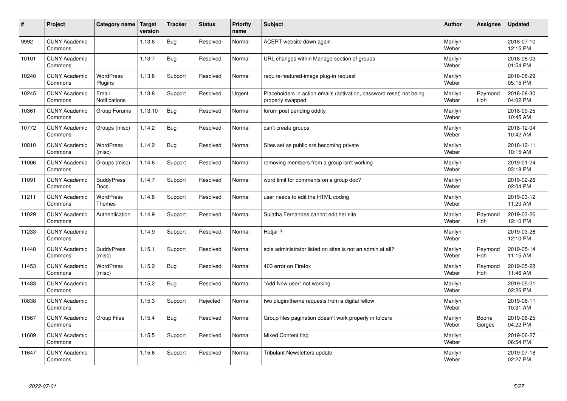| $\vert$ # | Project                         | Category name               | <b>Target</b><br>version | <b>Tracker</b> | <b>Status</b> | Priority<br>name | <b>Subject</b>                                                                           | <b>Author</b>    | Assignee        | <b>Updated</b>         |
|-----------|---------------------------------|-----------------------------|--------------------------|----------------|---------------|------------------|------------------------------------------------------------------------------------------|------------------|-----------------|------------------------|
| 9992      | <b>CUNY Academic</b><br>Commons |                             | 1.13.6                   | Bug            | Resolved      | Normal           | ACERT website down again                                                                 | Marilyn<br>Weber |                 | 2018-07-10<br>12:15 PM |
| 10101     | <b>CUNY Academic</b><br>Commons |                             | 1.13.7                   | Bug            | Resolved      | Normal           | URL changes within Manage section of groups                                              | Marilyn<br>Weber |                 | 2018-08-03<br>01:54 PM |
| 10240     | <b>CUNY Academic</b><br>Commons | <b>WordPress</b><br>Plugins | 1.13.8                   | Support        | Resolved      | Normal           | require-featured-image plug-in request                                                   | Marilyn<br>Weber |                 | 2018-08-29<br>05:15 PM |
| 10245     | <b>CUNY Academic</b><br>Commons | Email<br>Notifications      | 1.13.8                   | Support        | Resolved      | Urgent           | Placeholders in action emails (activation, password reset) not being<br>properly swapped | Marilyn<br>Weber | Raymond<br>Hoh  | 2018-08-30<br>04:02 PM |
| 10361     | <b>CUNY Academic</b><br>Commons | Group Forums                | 1.13.10                  | <b>Bug</b>     | Resolved      | Normal           | forum post pending oddity                                                                | Marilyn<br>Weber |                 | 2018-09-25<br>10:45 AM |
| 10772     | <b>CUNY Academic</b><br>Commons | Groups (misc)               | 1.14.2                   | Bug            | Resolved      | Normal           | can't create groups                                                                      | Marilyn<br>Weber |                 | 2018-12-04<br>10:42 AM |
| 10810     | <b>CUNY Academic</b><br>Commons | WordPress<br>(misc)         | 1.14.2                   | <b>Bug</b>     | Resolved      | Normal           | Sites set as public are becoming private                                                 | Marilyn<br>Weber |                 | 2018-12-11<br>10:15 AM |
| 11006     | <b>CUNY Academic</b><br>Commons | Groups (misc)               | 1.14.6                   | Support        | Resolved      | Normal           | removing members from a group isn't working                                              | Marilyn<br>Weber |                 | 2019-01-24<br>03:18 PM |
| 11091     | <b>CUNY Academic</b><br>Commons | <b>BuddyPress</b><br>Docs   | 1.14.7                   | Support        | Resolved      | Normal           | word limit for comments on a group doc?                                                  | Marilyn<br>Weber |                 | 2019-02-26<br>02:04 PM |
| 11211     | <b>CUNY Academic</b><br>Commons | WordPress<br>Themes         | 1.14.8                   | Support        | Resolved      | Normal           | user needs to edit the HTML coding                                                       | Marilyn<br>Weber |                 | 2019-03-12<br>11:20 AM |
| 11029     | <b>CUNY Academic</b><br>Commons | Authentication              | 1.14.9                   | Support        | Resolved      | Normal           | Sujatha Fernandes cannot edit her site                                                   | Marilyn<br>Weber | Raymond<br>Hoh  | 2019-03-26<br>12:10 PM |
| 11233     | <b>CUNY Academic</b><br>Commons |                             | 1.14.9                   | Support        | Resolved      | Normal           | Hotiar?                                                                                  | Marilyn<br>Weber |                 | 2019-03-26<br>12:10 PM |
| 11448     | <b>CUNY Academic</b><br>Commons | <b>BuddyPress</b><br>(misc) | 1.15.1                   | Support        | Resolved      | Normal           | sole administrator listed on sites is not an admin at all?                               | Marilyn<br>Weber | Raymond<br>Hoh  | 2019-05-14<br>11:15 AM |
| 11453     | <b>CUNY Academic</b><br>Commons | WordPress<br>(misc)         | 1.15.2                   | <b>Bug</b>     | Resolved      | Normal           | 403 error on Firefox                                                                     | Marilyn<br>Weber | Raymond<br>Hoh  | 2019-05-28<br>11:46 AM |
| 11483     | <b>CUNY Academic</b><br>Commons |                             | 1.15.2                   | <b>Bug</b>     | Resolved      | Normal           | "Add New user" not working                                                               | Marilyn<br>Weber |                 | 2019-05-21<br>02:26 PM |
| 10838     | <b>CUNY Academic</b><br>Commons |                             | 1.15.3                   | Support        | Rejected      | Normal           | two plugin/theme requests from a digital fellow                                          | Marilyn<br>Weber |                 | 2019-06-11<br>10:31 AM |
| 11567     | <b>CUNY Academic</b><br>Commons | <b>Group Files</b>          | 1.15.4                   | Bug            | Resolved      | Normal           | Group files pagination doesn't work properly in folders                                  | Marilyn<br>Weber | Boone<br>Gorges | 2019-06-25<br>04:22 PM |
| 11609     | <b>CUNY Academic</b><br>Commons |                             | 1.15.5                   | Support        | Resolved      | Normal           | Mixed Content flag                                                                       | Marilyn<br>Weber |                 | 2019-06-27<br>06:54 PM |
| 11647     | <b>CUNY Academic</b><br>Commons |                             | 1.15.6                   | Support        | Resolved      | Normal           | Tribulant Newsletters update                                                             | Marilyn<br>Weber |                 | 2019-07-18<br>02:27 PM |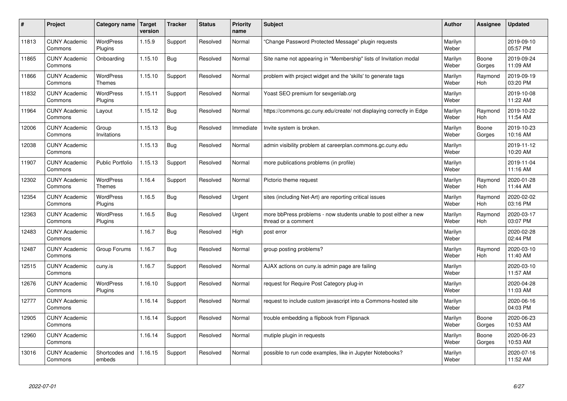| #     | Project                         | Category name                     | Target<br>version | <b>Tracker</b> | <b>Status</b> | <b>Priority</b><br>name | <b>Subject</b>                                                                          | <b>Author</b>    | Assignee        | <b>Updated</b>         |
|-------|---------------------------------|-----------------------------------|-------------------|----------------|---------------|-------------------------|-----------------------------------------------------------------------------------------|------------------|-----------------|------------------------|
| 11813 | <b>CUNY Academic</b><br>Commons | <b>WordPress</b><br>Plugins       | 1.15.9            | Support        | Resolved      | Normal                  | "Change Password Protected Message" plugin requests                                     | Marilyn<br>Weber |                 | 2019-09-10<br>05:57 PM |
| 11865 | <b>CUNY Academic</b><br>Commons | Onboarding                        | 1.15.10           | Bug            | Resolved      | Normal                  | Site name not appearing in "Membership" lists of Invitation modal                       | Marilyn<br>Weber | Boone<br>Gorges | 2019-09-24<br>11:09 AM |
| 11866 | <b>CUNY Academic</b><br>Commons | <b>WordPress</b><br>Themes        | 1.15.10           | Support        | Resolved      | Normal                  | problem with project widget and the 'skills' to generate tags                           | Marilyn<br>Weber | Raymond<br>Hoh  | 2019-09-19<br>03:20 PM |
| 11832 | <b>CUNY Academic</b><br>Commons | <b>WordPress</b><br>Plugins       | 1.15.11           | Support        | Resolved      | Normal                  | Yoast SEO premium for sexgenlab.org                                                     | Marilyn<br>Weber |                 | 2019-10-08<br>11:22 AM |
| 11964 | <b>CUNY Academic</b><br>Commons | Layout                            | 1.15.12           | Bug            | Resolved      | Normal                  | https://commons.gc.cuny.edu/create/ not displaying correctly in Edge                    | Marilyn<br>Weber | Raymond<br>Hoh  | 2019-10-22<br>11:54 AM |
| 12006 | <b>CUNY Academic</b><br>Commons | Group<br>Invitations              | 1.15.13           | Bug            | Resolved      | Immediate               | Invite system is broken.                                                                | Marilyn<br>Weber | Boone<br>Gorges | 2019-10-23<br>10:16 AM |
| 12038 | <b>CUNY Academic</b><br>Commons |                                   | 1.15.13           | Bug            | Resolved      | Normal                  | admin visibility problem at careerplan.commons.gc.cuny.edu                              | Marilyn<br>Weber |                 | 2019-11-12<br>10:20 AM |
| 11907 | <b>CUNY Academic</b><br>Commons | <b>Public Portfolio</b>           | 1.15.13           | Support        | Resolved      | Normal                  | more publications problems (in profile)                                                 | Marilyn<br>Weber |                 | 2019-11-04<br>11:16 AM |
| 12302 | <b>CUNY Academic</b><br>Commons | <b>WordPress</b><br><b>Themes</b> | 1.16.4            | Support        | Resolved      | Normal                  | Pictorio theme request                                                                  | Marilyn<br>Weber | Raymond<br>Hoh  | 2020-01-28<br>11:44 AM |
| 12354 | <b>CUNY Academic</b><br>Commons | <b>WordPress</b><br>Plugins       | 1.16.5            | <b>Bug</b>     | Resolved      | Urgent                  | sites (including Net-Art) are reporting critical issues                                 | Marilyn<br>Weber | Raymond<br>Hoh  | 2020-02-02<br>03:16 PM |
| 12363 | <b>CUNY Academic</b><br>Commons | <b>WordPress</b><br>Plugins       | 1.16.5            | Bug            | Resolved      | Urgent                  | more bbPress problems - now students unable to post either a new<br>thread or a comment | Marilyn<br>Weber | Raymond<br>Hoh  | 2020-03-17<br>03:07 PM |
| 12483 | <b>CUNY Academic</b><br>Commons |                                   | 1.16.7            | Bug            | Resolved      | High                    | post error                                                                              | Marilyn<br>Weber |                 | 2020-02-28<br>02:44 PM |
| 12487 | <b>CUNY Academic</b><br>Commons | Group Forums                      | 1.16.7            | Bug            | Resolved      | Normal                  | group posting problems?                                                                 | Marilyn<br>Weber | Raymond<br>Hoh  | 2020-03-10<br>11:40 AM |
| 12515 | <b>CUNY Academic</b><br>Commons | cuny.is                           | 1.16.7            | Support        | Resolved      | Normal                  | AJAX actions on cuny is admin page are failing                                          | Marilyn<br>Weber |                 | 2020-03-10<br>11:57 AM |
| 12676 | <b>CUNY Academic</b><br>Commons | WordPress<br>Plugins              | 1.16.10           | Support        | Resolved      | Normal                  | request for Require Post Category plug-in                                               | Marilyn<br>Weber |                 | 2020-04-28<br>11:03 AM |
| 12777 | <b>CUNY Academic</b><br>Commons |                                   | 1.16.14           | Support        | Resolved      | Normal                  | request to include custom javascript into a Commons-hosted site                         | Marilyn<br>Weber |                 | 2020-06-16<br>04:03 PM |
| 12905 | <b>CUNY Academic</b><br>Commons |                                   | 1.16.14           | Support        | Resolved      | Normal                  | trouble embedding a flipbook from Flipsnack                                             | Marilyn<br>Weber | Boone<br>Gorges | 2020-06-23<br>10:53 AM |
| 12960 | <b>CUNY Academic</b><br>Commons |                                   | 1.16.14           | Support        | Resolved      | Normal                  | mutiple plugin in requests                                                              | Marilyn<br>Weber | Boone<br>Gorges | 2020-06-23<br>10:53 AM |
| 13016 | <b>CUNY Academic</b><br>Commons | Shortcodes and<br>embeds          | 1.16.15           | Support        | Resolved      | Normal                  | possible to run code examples, like in Jupyter Notebooks?                               | Marilyn<br>Weber |                 | 2020-07-16<br>11:52 AM |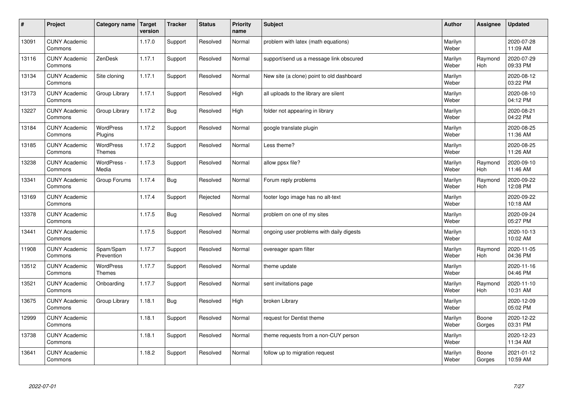| $\sharp$ | Project                         | Category name              | <b>Target</b><br>version | <b>Tracker</b> | <b>Status</b> | <b>Priority</b><br>name | <b>Subject</b>                            | <b>Author</b>    | Assignee        | <b>Updated</b>         |
|----------|---------------------------------|----------------------------|--------------------------|----------------|---------------|-------------------------|-------------------------------------------|------------------|-----------------|------------------------|
| 13091    | <b>CUNY Academic</b><br>Commons |                            | 1.17.0                   | Support        | Resolved      | Normal                  | problem with latex (math equations)       | Marilyn<br>Weber |                 | 2020-07-28<br>11:09 AM |
| 13116    | <b>CUNY Academic</b><br>Commons | ZenDesk                    | 1.17.1                   | Support        | Resolved      | Normal                  | support/send us a message link obscured   | Marilyn<br>Weber | Raymond<br>Hoh  | 2020-07-29<br>09:33 PM |
| 13134    | <b>CUNY Academic</b><br>Commons | Site cloning               | 1.17.1                   | Support        | Resolved      | Normal                  | New site (a clone) point to old dashboard | Marilyn<br>Weber |                 | 2020-08-12<br>03:22 PM |
| 13173    | <b>CUNY Academic</b><br>Commons | Group Library              | 1.17.1                   | Support        | Resolved      | High                    | all uploads to the library are silent     | Marilyn<br>Weber |                 | 2020-08-10<br>04:12 PM |
| 13227    | <b>CUNY Academic</b><br>Commons | Group Library              | 1.17.2                   | Bug            | Resolved      | High                    | folder not appearing in library           | Marilyn<br>Weber |                 | 2020-08-21<br>04:22 PM |
| 13184    | <b>CUNY Academic</b><br>Commons | WordPress<br>Plugins       | 1.17.2                   | Support        | Resolved      | Normal                  | google translate plugin                   | Marilyn<br>Weber |                 | 2020-08-25<br>11:36 AM |
| 13185    | <b>CUNY Academic</b><br>Commons | WordPress<br><b>Themes</b> | 1.17.2                   | Support        | Resolved      | Normal                  | Less theme?                               | Marilyn<br>Weber |                 | 2020-08-25<br>11:26 AM |
| 13238    | <b>CUNY Academic</b><br>Commons | WordPress -<br>Media       | 1.17.3                   | Support        | Resolved      | Normal                  | allow ppsx file?                          | Marilyn<br>Weber | Raymond<br>Hoh  | 2020-09-10<br>11:46 AM |
| 13341    | <b>CUNY Academic</b><br>Commons | Group Forums               | 1.17.4                   | <b>Bug</b>     | Resolved      | Normal                  | Forum reply problems                      | Marilyn<br>Weber | Raymond<br>Hoh  | 2020-09-22<br>12:08 PM |
| 13169    | <b>CUNY Academic</b><br>Commons |                            | 1.17.4                   | Support        | Rejected      | Normal                  | footer logo image has no alt-text         | Marilyn<br>Weber |                 | 2020-09-22<br>10:18 AM |
| 13378    | <b>CUNY Academic</b><br>Commons |                            | 1.17.5                   | <b>Bug</b>     | Resolved      | Normal                  | problem on one of my sites                | Marilyn<br>Weber |                 | 2020-09-24<br>05:27 PM |
| 13441    | <b>CUNY Academic</b><br>Commons |                            | 1.17.5                   | Support        | Resolved      | Normal                  | ongoing user problems with daily digests  | Marilyn<br>Weber |                 | 2020-10-13<br>10:02 AM |
| 11908    | <b>CUNY Academic</b><br>Commons | Spam/Spam<br>Prevention    | 1.17.7                   | Support        | Resolved      | Normal                  | overeager spam filter                     | Marilyn<br>Weber | Raymond<br>Hoh  | 2020-11-05<br>04:36 PM |
| 13512    | <b>CUNY Academic</b><br>Commons | <b>WordPress</b><br>Themes | 1.17.7                   | Support        | Resolved      | Normal                  | theme update                              | Marilyn<br>Weber |                 | 2020-11-16<br>04:46 PM |
| 13521    | <b>CUNY Academic</b><br>Commons | Onboarding                 | 1.17.7                   | Support        | Resolved      | Normal                  | sent invitations page                     | Marilyn<br>Weber | Raymond<br>Hoh  | 2020-11-10<br>10:31 AM |
| 13675    | <b>CUNY Academic</b><br>Commons | Group Library              | 1.18.1                   | <b>Bug</b>     | Resolved      | High                    | broken Library                            | Marilyn<br>Weber |                 | 2020-12-09<br>05:02 PM |
| 12999    | <b>CUNY Academic</b><br>Commons |                            | 1.18.1                   | Support        | Resolved      | Normal                  | request for Dentist theme                 | Marilyn<br>Weber | Boone<br>Gorges | 2020-12-22<br>03:31 PM |
| 13738    | <b>CUNY Academic</b><br>Commons |                            | 1.18.1                   | Support        | Resolved      | Normal                  | theme requests from a non-CUY person      | Marilyn<br>Weber |                 | 2020-12-23<br>11:34 AM |
| 13641    | <b>CUNY Academic</b><br>Commons |                            | 1.18.2                   | Support        | Resolved      | Normal                  | follow up to migration request            | Marilyn<br>Weber | Boone<br>Gorges | 2021-01-12<br>10:59 AM |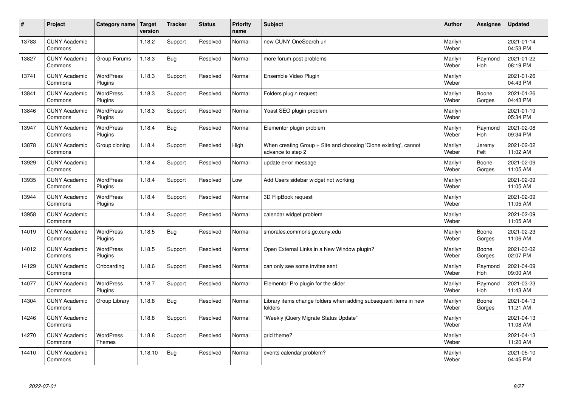| #     | Project                         | Category name               | <b>Target</b><br>version | <b>Tracker</b> | <b>Status</b> | <b>Priority</b><br>name | <b>Subject</b>                                                                        | <b>Author</b>    | Assignee              | <b>Updated</b>         |
|-------|---------------------------------|-----------------------------|--------------------------|----------------|---------------|-------------------------|---------------------------------------------------------------------------------------|------------------|-----------------------|------------------------|
| 13783 | <b>CUNY Academic</b><br>Commons |                             | 1.18.2                   | Support        | Resolved      | Normal                  | new CUNY OneSearch url                                                                | Marilyn<br>Weber |                       | 2021-01-14<br>04:53 PM |
| 13827 | <b>CUNY Academic</b><br>Commons | Group Forums                | 1.18.3                   | Bug            | Resolved      | Normal                  | more forum post problems                                                              | Marilyn<br>Weber | Raymond<br><b>Hoh</b> | 2021-01-22<br>08:19 PM |
| 13741 | <b>CUNY Academic</b><br>Commons | <b>WordPress</b><br>Plugins | 1.18.3                   | Support        | Resolved      | Normal                  | Ensemble Video Plugin                                                                 | Marilyn<br>Weber |                       | 2021-01-26<br>04:43 PM |
| 13841 | <b>CUNY Academic</b><br>Commons | <b>WordPress</b><br>Plugins | 1.18.3                   | Support        | Resolved      | Normal                  | Folders plugin request                                                                | Marilyn<br>Weber | Boone<br>Gorges       | 2021-01-26<br>04:43 PM |
| 13846 | <b>CUNY Academic</b><br>Commons | WordPress<br>Plugins        | 1.18.3                   | Support        | Resolved      | Normal                  | Yoast SEO plugin problem                                                              | Marilyn<br>Weber |                       | 2021-01-19<br>05:34 PM |
| 13947 | <b>CUNY Academic</b><br>Commons | <b>WordPress</b><br>Plugins | 1.18.4                   | <b>Bug</b>     | Resolved      | Normal                  | Elementor plugin problem                                                              | Marilyn<br>Weber | Raymond<br>Hoh        | 2021-02-08<br>09:34 PM |
| 13878 | <b>CUNY Academic</b><br>Commons | Group cloning               | 1.18.4                   | Support        | Resolved      | High                    | When creating Group + Site and choosing 'Clone existing', cannot<br>advance to step 2 | Marilyn<br>Weber | Jeremy<br>Felt        | 2021-02-02<br>11:02 AM |
| 13929 | <b>CUNY Academic</b><br>Commons |                             | 1.18.4                   | Support        | Resolved      | Normal                  | update error message                                                                  | Marilyn<br>Weber | Boone<br>Gorges       | 2021-02-09<br>11:05 AM |
| 13935 | <b>CUNY Academic</b><br>Commons | <b>WordPress</b><br>Plugins | 1.18.4                   | Support        | Resolved      | Low                     | Add Users sidebar widget not working                                                  | Marilyn<br>Weber |                       | 2021-02-09<br>11:05 AM |
| 13944 | <b>CUNY Academic</b><br>Commons | WordPress<br>Plugins        | 1.18.4                   | Support        | Resolved      | Normal                  | 3D FlipBook request                                                                   | Marilyn<br>Weber |                       | 2021-02-09<br>11:05 AM |
| 13958 | <b>CUNY Academic</b><br>Commons |                             | 1.18.4                   | Support        | Resolved      | Normal                  | calendar widget problem                                                               | Marilyn<br>Weber |                       | 2021-02-09<br>11:05 AM |
| 14019 | <b>CUNY Academic</b><br>Commons | WordPress<br>Plugins        | 1.18.5                   | Bug            | Resolved      | Normal                  | smorales.commons.gc.cuny.edu                                                          | Marilyn<br>Weber | Boone<br>Gorges       | 2021-02-23<br>11:06 AM |
| 14012 | <b>CUNY Academic</b><br>Commons | <b>WordPress</b><br>Plugins | 1.18.5                   | Support        | Resolved      | Normal                  | Open External Links in a New Window plugin?                                           | Marilyn<br>Weber | Boone<br>Gorges       | 2021-03-02<br>02:07 PM |
| 14129 | <b>CUNY Academic</b><br>Commons | Onboarding                  | 1.18.6                   | Support        | Resolved      | Normal                  | can only see some invites sent                                                        | Marilyn<br>Weber | Raymond<br><b>Hoh</b> | 2021-04-09<br>09:00 AM |
| 14077 | <b>CUNY Academic</b><br>Commons | WordPress<br>Plugins        | 1.18.7                   | Support        | Resolved      | Normal                  | Elementor Pro plugin for the slider                                                   | Marilyn<br>Weber | Raymond<br>Hoh        | 2021-03-23<br>11:43 AM |
| 14304 | <b>CUNY Academic</b><br>Commons | Group Library               | 1.18.8                   | Bug            | Resolved      | Normal                  | Library items change folders when adding subsequent items in new<br>folders           | Marilyn<br>Weber | Boone<br>Gorges       | 2021-04-13<br>11:21 AM |
| 14246 | <b>CUNY Academic</b><br>Commons |                             | 1.18.8                   | Support        | Resolved      | Normal                  | "Weekly jQuery Migrate Status Update"                                                 | Marilyn<br>Weber |                       | 2021-04-13<br>11:08 AM |
| 14270 | <b>CUNY Academic</b><br>Commons | WordPress<br>Themes         | 1.18.8                   | Support        | Resolved      | Normal                  | grid theme?                                                                           | Marilyn<br>Weber |                       | 2021-04-13<br>11:20 AM |
| 14410 | <b>CUNY Academic</b><br>Commons |                             | 1.18.10                  | Bug            | Resolved      | Normal                  | events calendar problem?                                                              | Marilyn<br>Weber |                       | 2021-05-10<br>04:45 PM |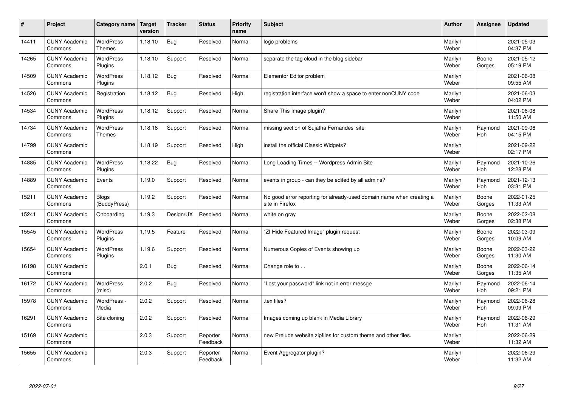| #     | Project                         | Category name                | <b>Target</b><br>version | <b>Tracker</b> | <b>Status</b>        | <b>Priority</b><br>name | <b>Subject</b>                                                                          | <b>Author</b>    | <b>Assignee</b> | <b>Updated</b>         |
|-------|---------------------------------|------------------------------|--------------------------|----------------|----------------------|-------------------------|-----------------------------------------------------------------------------------------|------------------|-----------------|------------------------|
| 14411 | <b>CUNY Academic</b><br>Commons | WordPress<br>Themes          | 1.18.10                  | Bug            | Resolved             | Normal                  | logo problems                                                                           | Marilyn<br>Weber |                 | 2021-05-03<br>04:37 PM |
| 14265 | <b>CUNY Academic</b><br>Commons | <b>WordPress</b><br>Plugins  | 1.18.10                  | Support        | Resolved             | Normal                  | separate the tag cloud in the blog sidebar                                              | Marilyn<br>Weber | Boone<br>Gorges | 2021-05-12<br>05:19 PM |
| 14509 | <b>CUNY Academic</b><br>Commons | <b>WordPress</b><br>Plugins  | 1.18.12                  | <b>Bug</b>     | Resolved             | Normal                  | Elementor Editor problem                                                                | Marilyn<br>Weber |                 | 2021-06-08<br>09:55 AM |
| 14526 | <b>CUNY Academic</b><br>Commons | Registration                 | 1.18.12                  | <b>Bug</b>     | Resolved             | High                    | registration interface won't show a space to enter nonCUNY code                         | Marilyn<br>Weber |                 | 2021-06-03<br>04:02 PM |
| 14534 | <b>CUNY Academic</b><br>Commons | <b>WordPress</b><br>Plugins  | 1.18.12                  | Support        | Resolved             | Normal                  | Share This Image plugin?                                                                | Marilyn<br>Weber |                 | 2021-06-08<br>11:50 AM |
| 14734 | <b>CUNY Academic</b><br>Commons | WordPress<br><b>Themes</b>   | 1.18.18                  | Support        | Resolved             | Normal                  | missing section of Sujatha Fernandes' site                                              | Marilyn<br>Weber | Raymond<br>Hoh  | 2021-09-06<br>04:15 PM |
| 14799 | <b>CUNY Academic</b><br>Commons |                              | 1.18.19                  | Support        | Resolved             | High                    | install the official Classic Widgets?                                                   | Marilyn<br>Weber |                 | 2021-09-22<br>02:17 PM |
| 14885 | <b>CUNY Academic</b><br>Commons | <b>WordPress</b><br>Plugins  | 1.18.22                  | <b>Bug</b>     | Resolved             | Normal                  | Long Loading Times -- Wordpress Admin Site                                              | Marilyn<br>Weber | Raymond<br>Hoh  | 2021-10-26<br>12:28 PM |
| 14889 | <b>CUNY Academic</b><br>Commons | Events                       | 1.19.0                   | Support        | Resolved             | Normal                  | events in group - can they be edited by all admins?                                     | Marilyn<br>Weber | Raymond<br>Hoh  | 2021-12-13<br>03:31 PM |
| 15211 | <b>CUNY Academic</b><br>Commons | <b>Blogs</b><br>(BuddyPress) | 1.19.2                   | Support        | Resolved             | Normal                  | No good error reporting for already-used domain name when creating a<br>site in Firefox | Marilyn<br>Weber | Boone<br>Gorges | 2022-01-25<br>11:33 AM |
| 15241 | <b>CUNY Academic</b><br>Commons | Onboarding                   | 1.19.3                   | Design/UX      | Resolved             | Normal                  | white on gray                                                                           | Marilyn<br>Weber | Boone<br>Gorges | 2022-02-08<br>02:38 PM |
| 15545 | <b>CUNY Academic</b><br>Commons | WordPress<br>Plugins         | 1.19.5                   | Feature        | Resolved             | Normal                  | "ZI Hide Featured Image" plugin request                                                 | Marilyn<br>Weber | Boone<br>Gorges | 2022-03-09<br>10:09 AM |
| 15654 | <b>CUNY Academic</b><br>Commons | WordPress<br>Plugins         | 1.19.6                   | Support        | Resolved             | Normal                  | Numerous Copies of Events showing up                                                    | Marilyn<br>Weber | Boone<br>Gorges | 2022-03-22<br>11:30 AM |
| 16198 | <b>CUNY Academic</b><br>Commons |                              | 2.0.1                    | <b>Bug</b>     | Resolved             | Normal                  | Change role to                                                                          | Marilyn<br>Weber | Boone<br>Gorges | 2022-06-14<br>11:35 AM |
| 16172 | <b>CUNY Academic</b><br>Commons | WordPress<br>(misc)          | 2.0.2                    | <b>Bug</b>     | Resolved             | Normal                  | "Lost your password" link not in error messge                                           | Marilyn<br>Weber | Raymond<br>Hoh  | 2022-06-14<br>09:21 PM |
| 15978 | <b>CUNY Academic</b><br>Commons | WordPress -<br>Media         | 2.0.2                    | Support        | Resolved             | Normal                  | tex files?                                                                              | Marilyn<br>Weber | Raymond<br>Hoh  | 2022-06-28<br>09:09 PM |
| 16291 | <b>CUNY Academic</b><br>Commons | Site cloning                 | 2.0.2                    | Support        | Resolved             | Normal                  | Images coming up blank in Media Library                                                 | Marilyn<br>Weber | Raymond<br>Hoh  | 2022-06-29<br>11:31 AM |
| 15169 | <b>CUNY Academic</b><br>Commons |                              | 2.0.3                    | Support        | Reporter<br>Feedback | Normal                  | new Prelude website zipfiles for custom theme and other files.                          | Marilyn<br>Weber |                 | 2022-06-29<br>11:32 AM |
| 15655 | <b>CUNY Academic</b><br>Commons |                              | 2.0.3                    | Support        | Reporter<br>Feedback | Normal                  | Event Aggregator plugin?                                                                | Marilyn<br>Weber |                 | 2022-06-29<br>11:32 AM |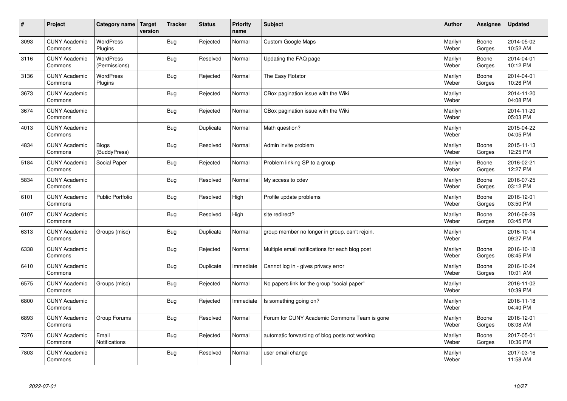| $\vert$ # | Project                         | Category name                | Target<br>version | <b>Tracker</b> | <b>Status</b> | <b>Priority</b><br>name | <b>Subject</b>                                  | <b>Author</b>    | Assignee        | <b>Updated</b>         |
|-----------|---------------------------------|------------------------------|-------------------|----------------|---------------|-------------------------|-------------------------------------------------|------------------|-----------------|------------------------|
| 3093      | <b>CUNY Academic</b><br>Commons | <b>WordPress</b><br>Plugins  |                   | <b>Bug</b>     | Rejected      | Normal                  | <b>Custom Google Maps</b>                       | Marilyn<br>Weber | Boone<br>Gorges | 2014-05-02<br>10:52 AM |
| 3116      | <b>CUNY Academic</b><br>Commons | WordPress<br>(Permissions)   |                   | <b>Bug</b>     | Resolved      | Normal                  | Updating the FAQ page                           | Marilyn<br>Weber | Boone<br>Gorges | 2014-04-01<br>10:12 PM |
| 3136      | <b>CUNY Academic</b><br>Commons | <b>WordPress</b><br>Plugins  |                   | <b>Bug</b>     | Rejected      | Normal                  | The Easy Rotator                                | Marilyn<br>Weber | Boone<br>Gorges | 2014-04-01<br>10:26 PM |
| 3673      | <b>CUNY Academic</b><br>Commons |                              |                   | <b>Bug</b>     | Rejected      | Normal                  | CBox pagination issue with the Wiki             | Marilyn<br>Weber |                 | 2014-11-20<br>04:08 PM |
| 3674      | <b>CUNY Academic</b><br>Commons |                              |                   | <b>Bug</b>     | Rejected      | Normal                  | CBox pagination issue with the Wiki             | Marilyn<br>Weber |                 | 2014-11-20<br>05:03 PM |
| 4013      | <b>CUNY Academic</b><br>Commons |                              |                   | <b>Bug</b>     | Duplicate     | Normal                  | Math question?                                  | Marilyn<br>Weber |                 | 2015-04-22<br>04:05 PM |
| 4834      | <b>CUNY Academic</b><br>Commons | <b>Blogs</b><br>(BuddyPress) |                   | Bug            | Resolved      | Normal                  | Admin invite problem                            | Marilyn<br>Weber | Boone<br>Gorges | 2015-11-13<br>12:25 PM |
| 5184      | <b>CUNY Academic</b><br>Commons | Social Paper                 |                   | <b>Bug</b>     | Rejected      | Normal                  | Problem linking SP to a group                   | Marilyn<br>Weber | Boone<br>Gorges | 2016-02-21<br>12:27 PM |
| 5834      | <b>CUNY Academic</b><br>Commons |                              |                   | <b>Bug</b>     | Resolved      | Normal                  | My access to cdev                               | Marilyn<br>Weber | Boone<br>Gorges | 2016-07-25<br>03:12 PM |
| 6101      | <b>CUNY Academic</b><br>Commons | <b>Public Portfolio</b>      |                   | <b>Bug</b>     | Resolved      | High                    | Profile update problems                         | Marilyn<br>Weber | Boone<br>Gorges | 2016-12-01<br>03:50 PM |
| 6107      | <b>CUNY Academic</b><br>Commons |                              |                   | Bug            | Resolved      | High                    | site redirect?                                  | Marilyn<br>Weber | Boone<br>Gorges | 2016-09-29<br>03:45 PM |
| 6313      | <b>CUNY Academic</b><br>Commons | Groups (misc)                |                   | <b>Bug</b>     | Duplicate     | Normal                  | group member no longer in group, can't rejoin.  | Marilyn<br>Weber |                 | 2016-10-14<br>09:27 PM |
| 6338      | <b>CUNY Academic</b><br>Commons |                              |                   | Bug            | Rejected      | Normal                  | Multiple email notifications for each blog post | Marilyn<br>Weber | Boone<br>Gorges | 2016-10-18<br>08:45 PM |
| 6410      | <b>CUNY Academic</b><br>Commons |                              |                   | <b>Bug</b>     | Duplicate     | Immediate               | Cannot log in - gives privacy error             | Marilyn<br>Weber | Boone<br>Gorges | 2016-10-24<br>10:01 AM |
| 6575      | <b>CUNY Academic</b><br>Commons | Groups (misc)                |                   | Bug            | Rejected      | Normal                  | No papers link for the group "social paper"     | Marilyn<br>Weber |                 | 2016-11-02<br>10:39 PM |
| 6800      | <b>CUNY Academic</b><br>Commons |                              |                   | <b>Bug</b>     | Rejected      | Immediate               | Is something going on?                          | Marilyn<br>Weber |                 | 2016-11-18<br>04:40 PM |
| 6893      | <b>CUNY Academic</b><br>Commons | Group Forums                 |                   | <b>Bug</b>     | Resolved      | Normal                  | Forum for CUNY Academic Commons Team is gone    | Marilyn<br>Weber | Boone<br>Gorges | 2016-12-01<br>08:08 AM |
| 7376      | <b>CUNY Academic</b><br>Commons | Email<br>Notifications       |                   | Bug            | Rejected      | Normal                  | automatic forwarding of blog posts not working  | Marilyn<br>Weber | Boone<br>Gorges | 2017-05-01<br>10:36 PM |
| 7803      | <b>CUNY Academic</b><br>Commons |                              |                   | Bug            | Resolved      | Normal                  | user email change                               | Marilyn<br>Weber |                 | 2017-03-16<br>11:58 AM |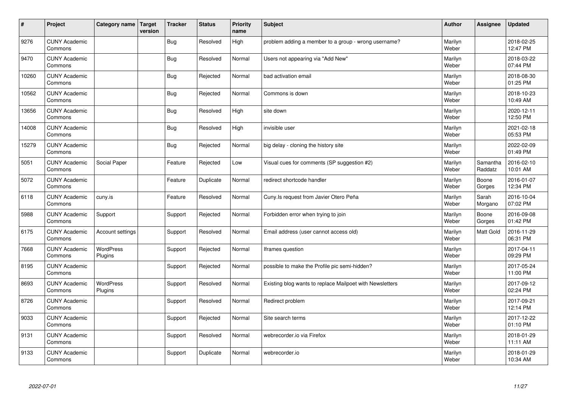| #     | Project                         | Category name        | <b>Target</b><br>version | <b>Tracker</b> | <b>Status</b> | <b>Priority</b><br>name | <b>Subject</b>                                           | <b>Author</b>    | Assignee            | <b>Updated</b>         |
|-------|---------------------------------|----------------------|--------------------------|----------------|---------------|-------------------------|----------------------------------------------------------|------------------|---------------------|------------------------|
| 9276  | <b>CUNY Academic</b><br>Commons |                      |                          | Bug            | Resolved      | High                    | problem adding a member to a group - wrong username?     | Marilyn<br>Weber |                     | 2018-02-25<br>12:47 PM |
| 9470  | <b>CUNY Academic</b><br>Commons |                      |                          | Bug            | Resolved      | Normal                  | Users not appearing via "Add New"                        | Marilyn<br>Weber |                     | 2018-03-22<br>07:44 PM |
| 10260 | <b>CUNY Academic</b><br>Commons |                      |                          | Bug            | Rejected      | Normal                  | bad activation email                                     | Marilyn<br>Weber |                     | 2018-08-30<br>01:25 PM |
| 10562 | <b>CUNY Academic</b><br>Commons |                      |                          | <b>Bug</b>     | Rejected      | Normal                  | Commons is down                                          | Marilyn<br>Weber |                     | 2018-10-23<br>10:49 AM |
| 13656 | <b>CUNY Academic</b><br>Commons |                      |                          | <b>Bug</b>     | Resolved      | High                    | site down                                                | Marilyn<br>Weber |                     | 2020-12-11<br>12:50 PM |
| 14008 | <b>CUNY Academic</b><br>Commons |                      |                          | <b>Bug</b>     | Resolved      | High                    | invisible user                                           | Marilyn<br>Weber |                     | 2021-02-18<br>05:53 PM |
| 15279 | <b>CUNY Academic</b><br>Commons |                      |                          | Bug            | Rejected      | Normal                  | big delay - cloning the history site                     | Marilyn<br>Weber |                     | 2022-02-09<br>01:49 PM |
| 5051  | <b>CUNY Academic</b><br>Commons | Social Paper         |                          | Feature        | Rejected      | Low                     | Visual cues for comments (SP suggestion #2)              | Marilyn<br>Weber | Samantha<br>Raddatz | 2016-02-10<br>10:01 AM |
| 5072  | <b>CUNY Academic</b><br>Commons |                      |                          | Feature        | Duplicate     | Normal                  | redirect shortcode handler                               | Marilyn<br>Weber | Boone<br>Gorges     | 2016-01-07<br>12:34 PM |
| 6118  | <b>CUNY Academic</b><br>Commons | cuny.is              |                          | Feature        | Resolved      | Normal                  | Cuny.Is request from Javier Otero Peña                   | Marilyn<br>Weber | Sarah<br>Morgano    | 2016-10-04<br>07:02 PM |
| 5988  | <b>CUNY Academic</b><br>Commons | Support              |                          | Support        | Rejected      | Normal                  | Forbidden error when trying to join                      | Marilyn<br>Weber | Boone<br>Gorges     | 2016-09-08<br>01:42 PM |
| 6175  | <b>CUNY Academic</b><br>Commons | Account settings     |                          | Support        | Resolved      | Normal                  | Email address (user cannot access old)                   | Marilyn<br>Weber | Matt Gold           | 2016-11-29<br>06:31 PM |
| 7668  | <b>CUNY Academic</b><br>Commons | WordPress<br>Plugins |                          | Support        | Rejected      | Normal                  | Iframes question                                         | Marilyn<br>Weber |                     | 2017-04-11<br>09:29 PM |
| 8195  | <b>CUNY Academic</b><br>Commons |                      |                          | Support        | Rejected      | Normal                  | possible to make the Profile pic semi-hidden?            | Marilyn<br>Weber |                     | 2017-05-24<br>11:00 PM |
| 8693  | <b>CUNY Academic</b><br>Commons | WordPress<br>Plugins |                          | Support        | Resolved      | Normal                  | Existing blog wants to replace Mailpoet with Newsletters | Marilyn<br>Weber |                     | 2017-09-12<br>02:24 PM |
| 8726  | <b>CUNY Academic</b><br>Commons |                      |                          | Support        | Resolved      | Normal                  | Redirect problem                                         | Marilyn<br>Weber |                     | 2017-09-21<br>12:14 PM |
| 9033  | <b>CUNY Academic</b><br>Commons |                      |                          | Support        | Rejected      | Normal                  | Site search terms                                        | Marilyn<br>Weber |                     | 2017-12-22<br>01:10 PM |
| 9131  | <b>CUNY Academic</b><br>Commons |                      |                          | Support        | Resolved      | Normal                  | webrecorder.io via Firefox                               | Marilyn<br>Weber |                     | 2018-01-29<br>11:11 AM |
| 9133  | <b>CUNY Academic</b><br>Commons |                      |                          | Support        | Duplicate     | Normal                  | webrecorder.io                                           | Marilyn<br>Weber |                     | 2018-01-29<br>10:34 AM |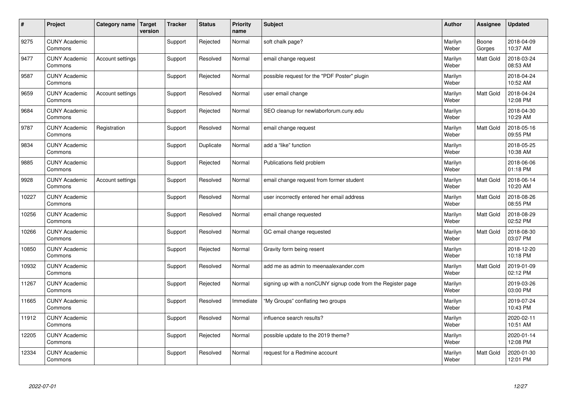| $\vert$ # | Project                         | Category name           | <b>Target</b><br>version | <b>Tracker</b> | <b>Status</b> | <b>Priority</b><br>name | <b>Subject</b>                                               | <b>Author</b>    | Assignee        | <b>Updated</b>         |
|-----------|---------------------------------|-------------------------|--------------------------|----------------|---------------|-------------------------|--------------------------------------------------------------|------------------|-----------------|------------------------|
| 9275      | <b>CUNY Academic</b><br>Commons |                         |                          | Support        | Rejected      | Normal                  | soft chalk page?                                             | Marilyn<br>Weber | Boone<br>Gorges | 2018-04-09<br>10:37 AM |
| 9477      | <b>CUNY Academic</b><br>Commons | Account settings        |                          | Support        | Resolved      | Normal                  | email change request                                         | Marilyn<br>Weber | Matt Gold       | 2018-03-24<br>08:53 AM |
| 9587      | <b>CUNY Academic</b><br>Commons |                         |                          | Support        | Rejected      | Normal                  | possible request for the "PDF Poster" plugin                 | Marilyn<br>Weber |                 | 2018-04-24<br>10:52 AM |
| 9659      | <b>CUNY Academic</b><br>Commons | Account settings        |                          | Support        | Resolved      | Normal                  | user email change                                            | Marilyn<br>Weber | Matt Gold       | 2018-04-24<br>12:08 PM |
| 9684      | <b>CUNY Academic</b><br>Commons |                         |                          | Support        | Rejected      | Normal                  | SEO cleanup for newlaborforum.cuny.edu                       | Marilyn<br>Weber |                 | 2018-04-30<br>10:29 AM |
| 9787      | <b>CUNY Academic</b><br>Commons | Registration            |                          | Support        | Resolved      | Normal                  | email change request                                         | Marilyn<br>Weber | Matt Gold       | 2018-05-16<br>09:55 PM |
| 9834      | <b>CUNY Academic</b><br>Commons |                         |                          | Support        | Duplicate     | Normal                  | add a "like" function                                        | Marilyn<br>Weber |                 | 2018-05-25<br>10:38 AM |
| 9885      | <b>CUNY Academic</b><br>Commons |                         |                          | Support        | Rejected      | Normal                  | Publications field problem                                   | Marilyn<br>Weber |                 | 2018-06-06<br>01:18 PM |
| 9928      | <b>CUNY Academic</b><br>Commons | <b>Account settings</b> |                          | Support        | Resolved      | Normal                  | email change request from former student                     | Marilyn<br>Weber | Matt Gold       | 2018-06-14<br>10:20 AM |
| 10227     | <b>CUNY Academic</b><br>Commons |                         |                          | Support        | Resolved      | Normal                  | user incorrectly entered her email address                   | Marilyn<br>Weber | Matt Gold       | 2018-08-26<br>08:55 PM |
| 10256     | <b>CUNY Academic</b><br>Commons |                         |                          | Support        | Resolved      | Normal                  | email change requested                                       | Marilyn<br>Weber | Matt Gold       | 2018-08-29<br>02:52 PM |
| 10266     | <b>CUNY Academic</b><br>Commons |                         |                          | Support        | Resolved      | Normal                  | GC email change requested                                    | Marilyn<br>Weber | Matt Gold       | 2018-08-30<br>03:07 PM |
| 10850     | <b>CUNY Academic</b><br>Commons |                         |                          | Support        | Rejected      | Normal                  | Gravity form being resent                                    | Marilyn<br>Weber |                 | 2018-12-20<br>10:18 PM |
| 10932     | <b>CUNY Academic</b><br>Commons |                         |                          | Support        | Resolved      | Normal                  | add me as admin to meenaalexander.com                        | Marilyn<br>Weber | Matt Gold       | 2019-01-09<br>02:12 PM |
| 11267     | <b>CUNY Academic</b><br>Commons |                         |                          | Support        | Rejected      | Normal                  | signing up with a nonCUNY signup code from the Register page | Marilyn<br>Weber |                 | 2019-03-26<br>03:00 PM |
| 11665     | <b>CUNY Academic</b><br>Commons |                         |                          | Support        | Resolved      | Immediate               | "My Groups" conflating two groups                            | Marilyn<br>Weber |                 | 2019-07-24<br>10:43 PM |
| 11912     | <b>CUNY Academic</b><br>Commons |                         |                          | Support        | Resolved      | Normal                  | influence search results?                                    | Marilyn<br>Weber |                 | 2020-02-11<br>10:51 AM |
| 12205     | <b>CUNY Academic</b><br>Commons |                         |                          | Support        | Rejected      | Normal                  | possible update to the 2019 theme?                           | Marilyn<br>Weber |                 | 2020-01-14<br>12:08 PM |
| 12334     | <b>CUNY Academic</b><br>Commons |                         |                          | Support        | Resolved      | Normal                  | request for a Redmine account                                | Marilyn<br>Weber | Matt Gold       | 2020-01-30<br>12:01 PM |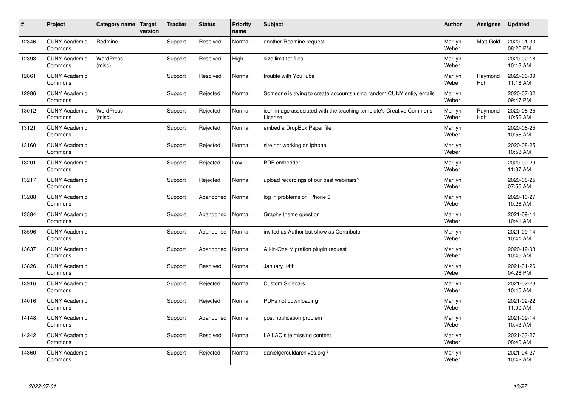| $\sharp$ | Project                         | Category name              | <b>Target</b><br>version | <b>Tracker</b> | <b>Status</b> | Priority<br>name | <b>Subject</b>                                                                 | <b>Author</b>    | Assignee       | <b>Updated</b>         |
|----------|---------------------------------|----------------------------|--------------------------|----------------|---------------|------------------|--------------------------------------------------------------------------------|------------------|----------------|------------------------|
| 12346    | <b>CUNY Academic</b><br>Commons | Redmine                    |                          | Support        | Resolved      | Normal           | another Redmine request                                                        | Marilyn<br>Weber | Matt Gold      | 2020-01-30<br>08:20 PM |
| 12393    | <b>CUNY Academic</b><br>Commons | <b>WordPress</b><br>(misc) |                          | Support        | Resolved      | High             | size limit for files                                                           | Marilyn<br>Weber |                | 2020-02-18<br>10:13 AM |
| 12861    | <b>CUNY Academic</b><br>Commons |                            |                          | Support        | Resolved      | Normal           | trouble with YouTube                                                           | Marilyn<br>Weber | Raymond<br>Hoh | 2020-06-09<br>11:16 AM |
| 12986    | <b>CUNY Academic</b><br>Commons |                            |                          | Support        | Rejected      | Normal           | Someone is trying to create accounts using random CUNY entity emails           | Marilyn<br>Weber |                | 2020-07-02<br>09:47 PM |
| 13012    | <b>CUNY Academic</b><br>Commons | <b>WordPress</b><br>(misc) |                          | Support        | Rejected      | Normal           | icon image associated with the teaching template's Creative Commons<br>License | Marilyn<br>Weber | Raymond<br>Hoh | 2020-08-25<br>10:56 AM |
| 13121    | <b>CUNY Academic</b><br>Commons |                            |                          | Support        | Rejected      | Normal           | embed a DropBox Paper file                                                     | Marilyn<br>Weber |                | 2020-08-25<br>10:56 AM |
| 13160    | <b>CUNY Academic</b><br>Commons |                            |                          | Support        | Rejected      | Normal           | site not working on iphone                                                     | Marilyn<br>Weber |                | 2020-08-25<br>10:58 AM |
| 13201    | <b>CUNY Academic</b><br>Commons |                            |                          | Support        | Rejected      | Low              | PDF embedder                                                                   | Marilyn<br>Weber |                | 2020-09-29<br>11:37 AM |
| 13217    | <b>CUNY Academic</b><br>Commons |                            |                          | Support        | Rejected      | Normal           | upload recordings of our past webinars?                                        | Marilyn<br>Weber |                | 2020-08-25<br>07:56 AM |
| 13288    | <b>CUNY Academic</b><br>Commons |                            |                          | Support        | Abandoned     | Normal           | log in problems on iPhone 6                                                    | Marilyn<br>Weber |                | 2020-10-27<br>10:26 AM |
| 13584    | <b>CUNY Academic</b><br>Commons |                            |                          | Support        | Abandoned     | Normal           | Graphy theme question                                                          | Marilyn<br>Weber |                | 2021-09-14<br>10:41 AM |
| 13596    | <b>CUNY Academic</b><br>Commons |                            |                          | Support        | Abandoned     | Normal           | invited as Author but show as Contributor                                      | Marilyn<br>Weber |                | 2021-09-14<br>10:41 AM |
| 13637    | <b>CUNY Academic</b><br>Commons |                            |                          | Support        | Abandoned     | Normal           | All-in-One Migration plugin request                                            | Marilyn<br>Weber |                | 2020-12-08<br>10:46 AM |
| 13826    | <b>CUNY Academic</b><br>Commons |                            |                          | Support        | Resolved      | Normal           | January 14th                                                                   | Marilyn<br>Weber |                | 2021-01-26<br>04:26 PM |
| 13916    | <b>CUNY Academic</b><br>Commons |                            |                          | Support        | Rejected      | Normal           | <b>Custom Sidebars</b>                                                         | Marilyn<br>Weber |                | 2021-02-23<br>10:45 AM |
| 14016    | <b>CUNY Academic</b><br>Commons |                            |                          | Support        | Rejected      | Normal           | PDFs not downloading                                                           | Marilyn<br>Weber |                | 2021-02-22<br>11:00 AM |
| 14148    | <b>CUNY Academic</b><br>Commons |                            |                          | Support        | Abandoned     | Normal           | post notification problem                                                      | Marilyn<br>Weber |                | 2021-09-14<br>10:43 AM |
| 14242    | <b>CUNY Academic</b><br>Commons |                            |                          | Support        | Resolved      | Normal           | LAILAC site missing content                                                    | Marilyn<br>Weber |                | 2021-03-27<br>08:40 AM |
| 14360    | <b>CUNY Academic</b><br>Commons |                            |                          | Support        | Rejected      | Normal           | danielgerouldarchives.org?                                                     | Marilyn<br>Weber |                | 2021-04-27<br>10:42 AM |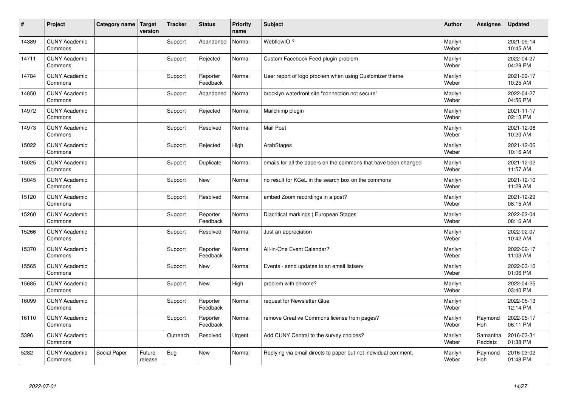| $\vert$ # | Project                         | Category name | Target<br>version | <b>Tracker</b> | <b>Status</b>        | <b>Priority</b><br>name | <b>Subject</b>                                                  | Author           | <b>Assignee</b>     | <b>Updated</b>         |
|-----------|---------------------------------|---------------|-------------------|----------------|----------------------|-------------------------|-----------------------------------------------------------------|------------------|---------------------|------------------------|
| 14389     | <b>CUNY Academic</b><br>Commons |               |                   | Support        | Abandoned            | Normal                  | WebflowIO?                                                      | Marilyn<br>Weber |                     | 2021-09-14<br>10:45 AM |
| 14711     | <b>CUNY Academic</b><br>Commons |               |                   | Support        | Rejected             | Normal                  | Custom Facebook Feed plugin problem                             | Marilyn<br>Weber |                     | 2022-04-27<br>04:29 PM |
| 14784     | <b>CUNY Academic</b><br>Commons |               |                   | Support        | Reporter<br>Feedback | Normal                  | User report of logo problem when using Customizer theme         | Marilyn<br>Weber |                     | 2021-09-17<br>10:25 AM |
| 14850     | <b>CUNY Academic</b><br>Commons |               |                   | Support        | Abandoned            | Normal                  | brooklyn waterfront site "connection not secure"                | Marilyn<br>Weber |                     | 2022-04-27<br>04:56 PM |
| 14972     | <b>CUNY Academic</b><br>Commons |               |                   | Support        | Rejected             | Normal                  | Mailchimp plugin                                                | Marilyn<br>Weber |                     | 2021-11-17<br>02:13 PM |
| 14973     | <b>CUNY Academic</b><br>Commons |               |                   | Support        | Resolved             | Normal                  | Mail Poet                                                       | Marilyn<br>Weber |                     | 2021-12-06<br>10:20 AM |
| 15022     | <b>CUNY Academic</b><br>Commons |               |                   | Support        | Rejected             | High                    | ArabStages                                                      | Marilyn<br>Weber |                     | 2021-12-06<br>10:16 AM |
| 15025     | <b>CUNY Academic</b><br>Commons |               |                   | Support        | Duplicate            | Normal                  | emails for all the papers on the commons that have been changed | Marilyn<br>Weber |                     | 2021-12-02<br>11:57 AM |
| 15045     | <b>CUNY Academic</b><br>Commons |               |                   | Support        | <b>New</b>           | Normal                  | no result for KCeL in the search box on the commons             | Marilyn<br>Weber |                     | 2021-12-10<br>11:29 AM |
| 15120     | <b>CUNY Academic</b><br>Commons |               |                   | Support        | Resolved             | Normal                  | embed Zoom recordings in a post?                                | Marilyn<br>Weber |                     | 2021-12-29<br>08:15 AM |
| 15260     | <b>CUNY Academic</b><br>Commons |               |                   | Support        | Reporter<br>Feedback | Normal                  | Diacritical markings   European Stages                          | Marilyn<br>Weber |                     | 2022-02-04<br>08:16 AM |
| 15266     | <b>CUNY Academic</b><br>Commons |               |                   | Support        | Resolved             | Normal                  | Just an appreciation                                            | Marilyn<br>Weber |                     | 2022-02-07<br>10:42 AM |
| 15370     | <b>CUNY Academic</b><br>Commons |               |                   | Support        | Reporter<br>Feedback | Normal                  | All-in-One Event Calendar?                                      | Marilyn<br>Weber |                     | 2022-02-17<br>11:03 AM |
| 15565     | <b>CUNY Academic</b><br>Commons |               |                   | Support        | <b>New</b>           | Normal                  | Events - send updates to an email listserv                      | Marilyn<br>Weber |                     | 2022-03-10<br>01:06 PM |
| 15685     | <b>CUNY Academic</b><br>Commons |               |                   | Support        | <b>New</b>           | High                    | problem with chrome?                                            | Marilyn<br>Weber |                     | 2022-04-25<br>03:40 PM |
| 16099     | <b>CUNY Academic</b><br>Commons |               |                   | Support        | Reporter<br>Feedback | Normal                  | request for Newsletter Glue                                     | Marilyn<br>Weber |                     | 2022-05-13<br>12:14 PM |
| 16110     | <b>CUNY Academic</b><br>Commons |               |                   | Support        | Reporter<br>Feedback | Normal                  | remove Creative Commons license from pages?                     | Marilyn<br>Weber | Raymond<br>Hoh      | 2022-05-17<br>06:11 PM |
| 5396      | <b>CUNY Academic</b><br>Commons |               |                   | Outreach       | Resolved             | Urgent                  | Add CUNY Central to the survey choices?                         | Marilyn<br>Weber | Samantha<br>Raddatz | 2016-03-31<br>01:38 PM |
| 5282      | <b>CUNY Academic</b><br>Commons | Social Paper  | Future<br>release | Bug            | New                  | Normal                  | Replying via email directs to paper but not individual comment. | Marilyn<br>Weber | Raymond<br>Hoh      | 2016-03-02<br>01:48 PM |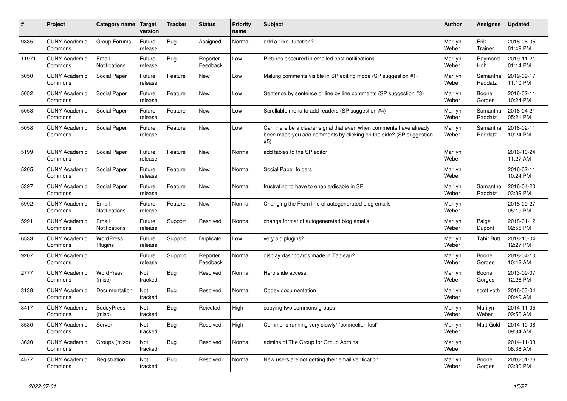| #     | Project                         | Category name               | Target<br>version | <b>Tracker</b> | <b>Status</b>        | <b>Priority</b><br>name | Subject                                                                                                                                         | <b>Author</b>    | <b>Assignee</b>     | <b>Updated</b>         |
|-------|---------------------------------|-----------------------------|-------------------|----------------|----------------------|-------------------------|-------------------------------------------------------------------------------------------------------------------------------------------------|------------------|---------------------|------------------------|
| 9835  | <b>CUNY Academic</b><br>Commons | Group Forums                | Future<br>release | <b>Bug</b>     | Assigned             | Normal                  | add a "like" function?                                                                                                                          | Marilyn<br>Weber | Erik<br>Trainer     | 2018-06-05<br>01:49 PM |
| 11971 | <b>CUNY Academic</b><br>Commons | Email<br>Notifications      | Future<br>release | <b>Bug</b>     | Reporter<br>Feedback | Low                     | Pictures obscured in emailed post notifications                                                                                                 | Marilyn<br>Weber | Raymond<br>Hoh      | 2019-11-21<br>01:14 PM |
| 5050  | <b>CUNY Academic</b><br>Commons | Social Paper                | Future<br>release | Feature        | New                  | Low                     | Making comments visible in SP editing mode (SP suggestion #1)                                                                                   | Marilyn<br>Weber | Samantha<br>Raddatz | 2019-09-17<br>11:10 PM |
| 5052  | <b>CUNY Academic</b><br>Commons | Social Paper                | Future<br>release | Feature        | New                  | Low                     | Sentence by sentence or line by line comments (SP suggestion #3)                                                                                | Marilyn<br>Weber | Boone<br>Gorges     | 2016-02-11<br>10:24 PM |
| 5053  | <b>CUNY Academic</b><br>Commons | Social Paper                | Future<br>release | Feature        | <b>New</b>           | Low                     | Scrollable menu to add readers (SP suggestion #4)                                                                                               | Marilyn<br>Weber | Samantha<br>Raddatz | 2016-04-21<br>05:21 PM |
| 5058  | <b>CUNY Academic</b><br>Commons | Social Paper                | Future<br>release | Feature        | New                  | Low                     | Can there be a clearer signal that even when comments have already<br>been made you add comments by clicking on the side? (SP suggestion<br>#5) | Marilyn<br>Weber | Samantha<br>Raddatz | 2016-02-11<br>10:24 PM |
| 5199  | <b>CUNY Academic</b><br>Commons | Social Paper                | Future<br>release | Feature        | <b>New</b>           | Normal                  | add tables to the SP editor                                                                                                                     | Marilyn<br>Weber |                     | 2016-10-24<br>11:27 AM |
| 5205  | <b>CUNY Academic</b><br>Commons | Social Paper                | Future<br>release | Feature        | New                  | Normal                  | Social Paper folders                                                                                                                            | Marilyn<br>Weber |                     | 2016-02-11<br>10:24 PM |
| 5397  | <b>CUNY Academic</b><br>Commons | Social Paper                | Future<br>release | Feature        | New                  | Normal                  | frustrating to have to enable/disable in SP                                                                                                     | Marilyn<br>Weber | Samantha<br>Raddatz | 2016-04-20<br>03:39 PM |
| 5992  | <b>CUNY Academic</b><br>Commons | Email<br>Notifications      | Future<br>release | Feature        | New                  | Normal                  | Changing the From line of autogenerated blog emails                                                                                             | Marilyn<br>Weber |                     | 2018-09-27<br>05:19 PM |
| 5991  | <b>CUNY Academic</b><br>Commons | Email<br>Notifications      | Future<br>release | Support        | Resolved             | Normal                  | change format of autogenerated blog emails                                                                                                      | Marilyn<br>Weber | Paige<br>Dupont     | 2018-01-12<br>02:55 PM |
| 6533  | <b>CUNY Academic</b><br>Commons | WordPress<br>Plugins        | Future<br>release | Support        | Duplicate            | Low                     | very old plugins?                                                                                                                               | Marilyn<br>Weber | Tahir Butt          | 2018-10-04<br>12:27 PM |
| 9207  | <b>CUNY Academic</b><br>Commons |                             | Future<br>release | Support        | Reporter<br>Feedback | Normal                  | display dashboards made in Tableau?                                                                                                             | Marilyn<br>Weber | Boone<br>Gorges     | 2018-04-10<br>10:42 AM |
| 2777  | <b>CUNY Academic</b><br>Commons | WordPress<br>(misc)         | Not<br>tracked    | Bug            | Resolved             | Normal                  | Hero slide access                                                                                                                               | Marilyn<br>Weber | Boone<br>Gorges     | 2013-09-07<br>12:26 PM |
| 3138  | <b>CUNY Academic</b><br>Commons | Documentation               | Not<br>tracked    | <b>Bug</b>     | Resolved             | Normal                  | Codex documentation                                                                                                                             | Marilyn<br>Weber | scott voth          | 2016-03-04<br>08:49 AM |
| 3417  | <b>CUNY Academic</b><br>Commons | <b>BuddyPress</b><br>(misc) | Not<br>tracked    | <b>Bug</b>     | Rejected             | High                    | copying two commons groups                                                                                                                      | Marilyn<br>Weber | Marilyn<br>Weber    | 2014-11-05<br>09:56 AM |
| 3530  | <b>CUNY Academic</b><br>Commons | Server                      | Not<br>tracked    | <b>Bug</b>     | Resolved             | High                    | Commons running very slowly/ "connection lost"                                                                                                  | Marilyn<br>Weber | <b>Matt Gold</b>    | 2014-10-08<br>09:34 AM |
| 3620  | <b>CUNY Academic</b><br>Commons | Groups (misc)               | Not<br>tracked    | Bug            | Resolved             | Normal                  | admins of The Group for Group Admins                                                                                                            | Marilyn<br>Weber |                     | 2014-11-03<br>08:38 AM |
| 4577  | <b>CUNY Academic</b><br>Commons | Registration                | Not<br>tracked    | <b>Bug</b>     | Resolved             | Normal                  | New users are not getting their email verification                                                                                              | Marilyn<br>Weber | Boone<br>Gorges     | 2016-01-26<br>03:30 PM |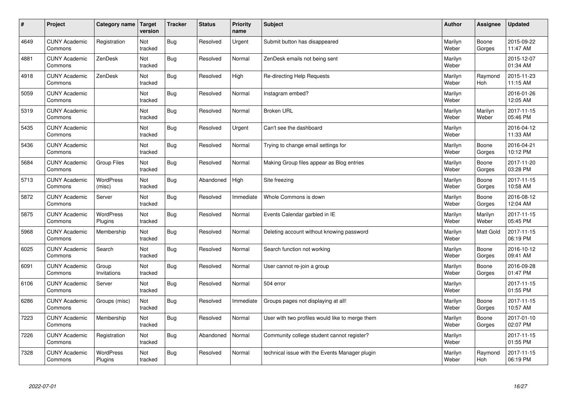| $\sharp$ | Project                         | Category name               | <b>Target</b><br>version | <b>Tracker</b> | <b>Status</b> | <b>Priority</b><br>name | <b>Subject</b>                                  | <b>Author</b>    | Assignee              | <b>Updated</b>         |
|----------|---------------------------------|-----------------------------|--------------------------|----------------|---------------|-------------------------|-------------------------------------------------|------------------|-----------------------|------------------------|
| 4649     | <b>CUNY Academic</b><br>Commons | Registration                | Not<br>tracked           | <b>Bug</b>     | Resolved      | Urgent                  | Submit button has disappeared                   | Marilyn<br>Weber | Boone<br>Gorges       | 2015-09-22<br>11:47 AM |
| 4881     | <b>CUNY Academic</b><br>Commons | ZenDesk                     | Not<br>tracked           | Bug            | Resolved      | Normal                  | ZenDesk emails not being sent                   | Marilyn<br>Weber |                       | 2015-12-07<br>01:34 AM |
| 4918     | <b>CUNY Academic</b><br>Commons | ZenDesk                     | Not<br>tracked           | Bug            | Resolved      | High                    | Re-directing Help Requests                      | Marilyn<br>Weber | Raymond<br><b>Hoh</b> | 2015-11-23<br>11:15 AM |
| 5059     | <b>CUNY Academic</b><br>Commons |                             | Not<br>tracked           | Bug            | Resolved      | Normal                  | Instagram embed?                                | Marilyn<br>Weber |                       | 2016-01-26<br>12:05 AM |
| 5319     | <b>CUNY Academic</b><br>Commons |                             | Not<br>tracked           | <b>Bug</b>     | Resolved      | Normal                  | <b>Broken URL</b>                               | Marilyn<br>Weber | Marilyn<br>Weber      | 2017-11-15<br>05:46 PM |
| 5435     | <b>CUNY Academic</b><br>Commons |                             | Not<br>tracked           | Bug            | Resolved      | Urgent                  | Can't see the dashboard                         | Marilyn<br>Weber |                       | 2016-04-12<br>11:33 AM |
| 5436     | <b>CUNY Academic</b><br>Commons |                             | Not<br>tracked           | Bug            | Resolved      | Normal                  | Trying to change email settings for             | Marilyn<br>Weber | Boone<br>Gorges       | 2016-04-21<br>10:12 PM |
| 5684     | <b>CUNY Academic</b><br>Commons | <b>Group Files</b>          | Not<br>tracked           | <b>Bug</b>     | Resolved      | Normal                  | Making Group files appear as Blog entries       | Marilyn<br>Weber | Boone<br>Gorges       | 2017-11-20<br>03:28 PM |
| 5713     | <b>CUNY Academic</b><br>Commons | WordPress<br>(misc)         | Not<br>tracked           | <b>Bug</b>     | Abandoned     | High                    | Site freezing                                   | Marilyn<br>Weber | Boone<br>Gorges       | 2017-11-15<br>10:58 AM |
| 5872     | <b>CUNY Academic</b><br>Commons | Server                      | Not<br>tracked           | Bug            | Resolved      | Immediate               | Whole Commons is down                           | Marilyn<br>Weber | Boone<br>Gorges       | 2016-08-12<br>12:04 AM |
| 5875     | <b>CUNY Academic</b><br>Commons | WordPress<br>Plugins        | Not<br>tracked           | Bug            | Resolved      | Normal                  | Events Calendar garbled in IE                   | Marilyn<br>Weber | Marilyn<br>Weber      | 2017-11-15<br>05:45 PM |
| 5968     | <b>CUNY Academic</b><br>Commons | Membership                  | Not<br>tracked           | Bug            | Resolved      | Normal                  | Deleting account without knowing password       | Marilyn<br>Weber | Matt Gold             | 2017-11-15<br>06:19 PM |
| 6025     | <b>CUNY Academic</b><br>Commons | Search                      | Not<br>tracked           | <b>Bug</b>     | Resolved      | Normal                  | Search function not working                     | Marilyn<br>Weber | Boone<br>Gorges       | 2016-10-12<br>09:41 AM |
| 6091     | <b>CUNY Academic</b><br>Commons | Group<br>Invitations        | Not<br>tracked           | Bug            | Resolved      | Normal                  | User cannot re-join a group                     | Marilyn<br>Weber | Boone<br>Gorges       | 2016-09-28<br>01:47 PM |
| 6106     | <b>CUNY Academic</b><br>Commons | Server                      | Not<br>tracked           | Bug            | Resolved      | Normal                  | 504 error                                       | Marilyn<br>Weber |                       | 2017-11-15<br>01:55 PM |
| 6286     | <b>CUNY Academic</b><br>Commons | Groups (misc)               | Not<br>tracked           | Bug            | Resolved      | Immediate               | Groups pages not displaying at all!             | Marilyn<br>Weber | Boone<br>Gorges       | 2017-11-15<br>10:57 AM |
| 7223     | <b>CUNY Academic</b><br>Commons | Membership                  | Not<br>tracked           | <b>Bug</b>     | Resolved      | Normal                  | User with two profiles would like to merge them | Marilyn<br>Weber | Boone<br>Gorges       | 2017-01-10<br>02:07 PM |
| 7226     | <b>CUNY Academic</b><br>Commons | Registration                | Not<br>tracked           | <b>Bug</b>     | Abandoned     | Normal                  | Community college student cannot register?      | Marilyn<br>Weber |                       | 2017-11-15<br>01:55 PM |
| 7328     | <b>CUNY Academic</b><br>Commons | <b>WordPress</b><br>Plugins | Not<br>tracked           | Bug            | Resolved      | Normal                  | technical issue with the Events Manager plugin  | Marilyn<br>Weber | Raymond<br>Hoh        | 2017-11-15<br>06:19 PM |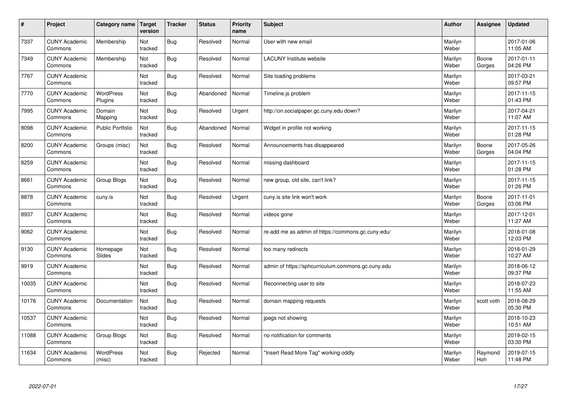| $\vert$ # | Project                         | Category name               | <b>Target</b><br>version | <b>Tracker</b> | <b>Status</b> | <b>Priority</b><br>name | <b>Subject</b>                                     | <b>Author</b>    | <b>Assignee</b> | <b>Updated</b>         |
|-----------|---------------------------------|-----------------------------|--------------------------|----------------|---------------|-------------------------|----------------------------------------------------|------------------|-----------------|------------------------|
| 7337      | <b>CUNY Academic</b><br>Commons | Membership                  | Not<br>tracked           | Bug            | Resolved      | Normal                  | User with new email                                | Marilyn<br>Weber |                 | 2017-01-06<br>11:05 AM |
| 7349      | <b>CUNY Academic</b><br>Commons | Membership                  | Not<br>tracked           | Bug            | Resolved      | Normal                  | <b>LACUNY Institute website</b>                    | Marilyn<br>Weber | Boone<br>Gorges | 2017-01-11<br>04:26 PM |
| 7767      | <b>CUNY Academic</b><br>Commons |                             | Not<br>tracked           | Bug            | Resolved      | Normal                  | Site loading problems                              | Marilyn<br>Weber |                 | 2017-03-21<br>09:57 PM |
| 7770      | <b>CUNY Academic</b><br>Commons | <b>WordPress</b><br>Plugins | Not<br>tracked           | Bug            | Abandoned     | Normal                  | Timeline.js problem                                | Marilyn<br>Weber |                 | 2017-11-15<br>01:43 PM |
| 7995      | <b>CUNY Academic</b><br>Commons | Domain<br>Mapping           | Not<br>tracked           | Bug            | Resolved      | Urgent                  | http://on.socialpaper.gc.cuny.edu down?            | Marilyn<br>Weber |                 | 2017-04-21<br>11:07 AM |
| 8098      | <b>CUNY Academic</b><br>Commons | <b>Public Portfolio</b>     | Not<br>tracked           | Bug            | Abandoned     | Normal                  | Widget in profile not working                      | Marilyn<br>Weber |                 | 2017-11-15<br>01:28 PM |
| 8200      | <b>CUNY Academic</b><br>Commons | Groups (misc)               | Not<br>tracked           | <b>Bug</b>     | Resolved      | Normal                  | Announcements has disappeared                      | Marilyn<br>Weber | Boone<br>Gorges | 2017-05-26<br>04:04 PM |
| 8259      | <b>CUNY Academic</b><br>Commons |                             | Not<br>tracked           | Bug            | Resolved      | Normal                  | missing dashboard                                  | Marilyn<br>Weber |                 | 2017-11-15<br>01:28 PM |
| 8661      | <b>CUNY Academic</b><br>Commons | Group Blogs                 | Not<br>tracked           | Bug            | Resolved      | Normal                  | new group, old site, can't link?                   | Marilyn<br>Weber |                 | 2017-11-15<br>01:26 PM |
| 8878      | <b>CUNY Academic</b><br>Commons | cuny.is                     | Not<br>tracked           | Bug            | Resolved      | Urgent                  | cuny.is site link won't work                       | Marilyn<br>Weber | Boone<br>Gorges | 2017-11-01<br>03:06 PM |
| 8937      | <b>CUNY Academic</b><br>Commons |                             | Not<br>tracked           | <b>Bug</b>     | Resolved      | Normal                  | videos gone                                        | Marilyn<br>Weber |                 | 2017-12-01<br>11:27 AM |
| 9062      | <b>CUNY Academic</b><br>Commons |                             | Not<br>tracked           | Bug            | Resolved      | Normal                  | re-add me as admin of https://commons.gc.cuny.edu/ | Marilyn<br>Weber |                 | 2018-01-08<br>12:03 PM |
| 9130      | <b>CUNY Academic</b><br>Commons | Homepage<br>Slides          | Not<br>tracked           | Bug            | Resolved      | Normal                  | too many redirects                                 | Marilyn<br>Weber |                 | 2018-01-29<br>10:27 AM |
| 9919      | <b>CUNY Academic</b><br>Commons |                             | Not<br>tracked           | Bug            | Resolved      | Normal                  | admin of https://sphcurriculum.commons.gc.cuny.edu | Marilyn<br>Weber |                 | 2018-06-12<br>09:37 PM |
| 10035     | <b>CUNY Academic</b><br>Commons |                             | Not<br>tracked           | Bug            | Resolved      | Normal                  | Reconnecting user to site                          | Marilyn<br>Weber |                 | 2018-07-23<br>11:55 AM |
| 10176     | <b>CUNY Academic</b><br>Commons | Documentation               | Not<br>tracked           | Bug            | Resolved      | Normal                  | domain mapping requests                            | Marilyn<br>Weber | scott voth      | 2018-08-29<br>05:30 PM |
| 10537     | <b>CUNY Academic</b><br>Commons |                             | Not<br>tracked           | Bug            | Resolved      | Normal                  | jpegs not showing                                  | Marilyn<br>Weber |                 | 2018-10-23<br>10:51 AM |
| 11088     | <b>CUNY Academic</b><br>Commons | Group Blogs                 | Not<br>tracked           | <b>Bug</b>     | Resolved      | Normal                  | no notification for comments                       | Marilyn<br>Weber |                 | 2019-02-15<br>03:30 PM |
| 11634     | <b>CUNY Academic</b><br>Commons | WordPress<br>(misc)         | Not<br>tracked           | Bug            | Rejected      | Normal                  | "Insert Read More Tag" working oddly               | Marilyn<br>Weber | Raymond<br>Hoh  | 2019-07-15<br>11:48 PM |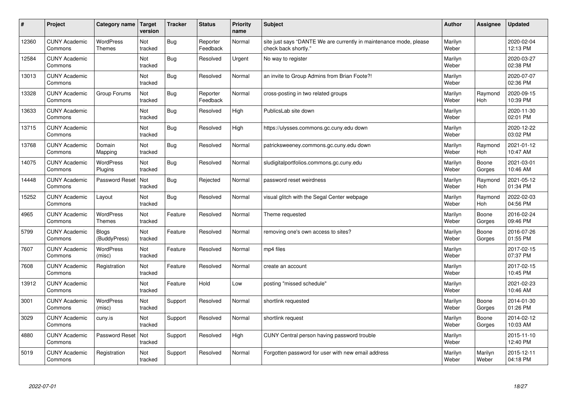| #     | Project                         | Category name                     | Target<br>version     | <b>Tracker</b> | <b>Status</b>        | <b>Priority</b><br>name | <b>Subject</b>                                                                             | <b>Author</b>    | Assignee         | <b>Updated</b>         |
|-------|---------------------------------|-----------------------------------|-----------------------|----------------|----------------------|-------------------------|--------------------------------------------------------------------------------------------|------------------|------------------|------------------------|
| 12360 | <b>CUNY Academic</b><br>Commons | <b>WordPress</b><br><b>Themes</b> | Not<br>tracked        | Bug            | Reporter<br>Feedback | Normal                  | site just says "DANTE We are currently in maintenance mode, please<br>check back shortly." | Marilyn<br>Weber |                  | 2020-02-04<br>12:13 PM |
| 12584 | <b>CUNY Academic</b><br>Commons |                                   | Not<br>tracked        | Bug            | Resolved             | Urgent                  | No way to register                                                                         | Marilyn<br>Weber |                  | 2020-03-27<br>02:38 PM |
| 13013 | <b>CUNY Academic</b><br>Commons |                                   | Not<br>tracked        | Bug            | Resolved             | Normal                  | an invite to Group Admins from Brian Foote?!                                               | Marilyn<br>Weber |                  | 2020-07-07<br>02:36 PM |
| 13328 | <b>CUNY Academic</b><br>Commons | Group Forums                      | Not<br>tracked        | Bug            | Reporter<br>Feedback | Normal                  | cross-posting in two related groups                                                        | Marilyn<br>Weber | Raymond<br>Hoh   | 2020-09-15<br>10:39 PM |
| 13633 | <b>CUNY Academic</b><br>Commons |                                   | <b>Not</b><br>tracked | <b>Bug</b>     | Resolved             | High                    | PublicsLab site down                                                                       | Marilyn<br>Weber |                  | 2020-11-30<br>02:01 PM |
| 13715 | <b>CUNY Academic</b><br>Commons |                                   | Not<br>tracked        | Bug            | Resolved             | High                    | https://ulysses.commons.gc.cuny.edu down                                                   | Marilyn<br>Weber |                  | 2020-12-22<br>03:02 PM |
| 13768 | <b>CUNY Academic</b><br>Commons | Domain<br>Mapping                 | Not<br>tracked        | <b>Bug</b>     | Resolved             | Normal                  | patricksweeney.commons.gc.cuny.edu down                                                    | Marilyn<br>Weber | Raymond<br>Hoh   | 2021-01-12<br>10:47 AM |
| 14075 | <b>CUNY Academic</b><br>Commons | <b>WordPress</b><br>Plugins       | Not<br>tracked        | Bug            | Resolved             | Normal                  | sludigitalportfolios.commons.gc.cuny.edu                                                   | Marilyn<br>Weber | Boone<br>Gorges  | 2021-03-01<br>10:46 AM |
| 14448 | <b>CUNY Academic</b><br>Commons | Password Reset                    | Not<br>tracked        | <b>Bug</b>     | Rejected             | Normal                  | password reset weirdness                                                                   | Marilyn<br>Weber | Raymond<br>Hoh   | 2021-05-12<br>01:34 PM |
| 15252 | <b>CUNY Academic</b><br>Commons | Layout                            | Not<br>tracked        | Bug            | Resolved             | Normal                  | visual glitch with the Segal Center webpage                                                | Marilyn<br>Weber | Raymond<br>Hoh   | 2022-02-03<br>04:56 PM |
| 4965  | <b>CUNY Academic</b><br>Commons | <b>WordPress</b><br>Themes        | Not<br>tracked        | Feature        | Resolved             | Normal                  | Theme requested                                                                            | Marilyn<br>Weber | Boone<br>Gorges  | 2016-02-24<br>09:46 PM |
| 5799  | <b>CUNY Academic</b><br>Commons | <b>Blogs</b><br>(BuddyPress)      | Not<br>tracked        | Feature        | Resolved             | Normal                  | removing one's own access to sites?                                                        | Marilyn<br>Weber | Boone<br>Gorges  | 2016-07-26<br>01:55 PM |
| 7607  | <b>CUNY Academic</b><br>Commons | WordPress<br>(misc)               | Not<br>tracked        | Feature        | Resolved             | Normal                  | mp4 files                                                                                  | Marilyn<br>Weber |                  | 2017-02-15<br>07:37 PM |
| 7608  | <b>CUNY Academic</b><br>Commons | Registration                      | Not<br>tracked        | Feature        | Resolved             | Normal                  | create an account                                                                          | Marilyn<br>Weber |                  | 2017-02-15<br>10:45 PM |
| 13912 | <b>CUNY Academic</b><br>Commons |                                   | Not<br>tracked        | Feature        | Hold                 | Low                     | posting "missed schedule"                                                                  | Marilyn<br>Weber |                  | 2021-02-23<br>10:46 AM |
| 3001  | <b>CUNY Academic</b><br>Commons | WordPress<br>(misc)               | Not<br>tracked        | Support        | Resolved             | Normal                  | shortlink requested                                                                        | Marilyn<br>Weber | Boone<br>Gorges  | 2014-01-30<br>01:26 PM |
| 3029  | <b>CUNY Academic</b><br>Commons | cuny.is                           | Not<br>tracked        | Support        | Resolved             | Normal                  | shortlink request                                                                          | Marilyn<br>Weber | Boone<br>Gorges  | 2014-02-12<br>10:03 AM |
| 4880  | <b>CUNY Academic</b><br>Commons | Password Reset                    | Not<br>tracked        | Support        | Resolved             | High                    | CUNY Central person having password trouble                                                | Marilyn<br>Weber |                  | 2015-11-10<br>12:40 PM |
| 5019  | <b>CUNY Academic</b><br>Commons | Registration                      | Not<br>tracked        | Support        | Resolved             | Normal                  | Forgotten password for user with new email address                                         | Marilyn<br>Weber | Marilyn<br>Weber | 2015-12-11<br>04:18 PM |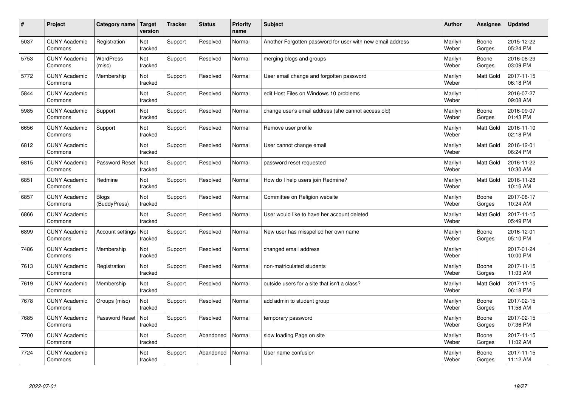| $\vert$ # | Project                         | Category name         | <b>Target</b><br>version | <b>Tracker</b> | <b>Status</b> | <b>Priority</b><br>name | <b>Subject</b>                                             | <b>Author</b>    | Assignee        | <b>Updated</b>         |
|-----------|---------------------------------|-----------------------|--------------------------|----------------|---------------|-------------------------|------------------------------------------------------------|------------------|-----------------|------------------------|
| 5037      | <b>CUNY Academic</b><br>Commons | Registration          | Not<br>tracked           | Support        | Resolved      | Normal                  | Another Forgotten password for user with new email address | Marilyn<br>Weber | Boone<br>Gorges | 2015-12-22<br>05:24 PM |
| 5753      | <b>CUNY Academic</b><br>Commons | WordPress<br>(misc)   | Not<br>tracked           | Support        | Resolved      | Normal                  | merging blogs and groups                                   | Marilyn<br>Weber | Boone<br>Gorges | 2016-08-29<br>03:09 PM |
| 5772      | <b>CUNY Academic</b><br>Commons | Membership            | Not<br>tracked           | Support        | Resolved      | Normal                  | User email change and forgotten password                   | Marilyn<br>Weber | Matt Gold       | 2017-11-15<br>06:18 PM |
| 5844      | <b>CUNY Academic</b><br>Commons |                       | Not<br>tracked           | Support        | Resolved      | Normal                  | edit Host Files on Windows 10 problems                     | Marilyn<br>Weber |                 | 2016-07-27<br>09:08 AM |
| 5985      | <b>CUNY Academic</b><br>Commons | Support               | Not<br>tracked           | Support        | Resolved      | Normal                  | change user's email address (she cannot access old)        | Marilyn<br>Weber | Boone<br>Gorges | 2016-09-07<br>01:43 PM |
| 6656      | <b>CUNY Academic</b><br>Commons | Support               | Not<br>tracked           | Support        | Resolved      | Normal                  | Remove user profile                                        | Marilyn<br>Weber | Matt Gold       | 2016-11-10<br>02:18 PM |
| 6812      | <b>CUNY Academic</b><br>Commons |                       | Not<br>tracked           | Support        | Resolved      | Normal                  | User cannot change email                                   | Marilyn<br>Weber | Matt Gold       | 2016-12-01<br>06:24 PM |
| 6815      | <b>CUNY Academic</b><br>Commons | Password Reset        | Not<br>tracked           | Support        | Resolved      | Normal                  | password reset requested                                   | Marilyn<br>Weber | Matt Gold       | 2016-11-22<br>10:30 AM |
| 6851      | <b>CUNY Academic</b><br>Commons | Redmine               | Not<br>tracked           | Support        | Resolved      | Normal                  | How do I help users join Redmine?                          | Marilyn<br>Weber | Matt Gold       | 2016-11-28<br>10:16 AM |
| 6857      | <b>CUNY Academic</b><br>Commons | Blogs<br>(BuddyPress) | Not<br>tracked           | Support        | Resolved      | Normal                  | Committee on Religion website                              | Marilyn<br>Weber | Boone<br>Gorges | 2017-08-17<br>10:24 AM |
| 6866      | <b>CUNY Academic</b><br>Commons |                       | Not<br>tracked           | Support        | Resolved      | Normal                  | User would like to have her account deleted                | Marilyn<br>Weber | Matt Gold       | 2017-11-15<br>05:49 PM |
| 6899      | <b>CUNY Academic</b><br>Commons | Account settings      | Not<br>tracked           | Support        | Resolved      | Normal                  | New user has misspelled her own name                       | Marilyn<br>Weber | Boone<br>Gorges | 2016-12-01<br>05:10 PM |
| 7486      | <b>CUNY Academic</b><br>Commons | Membership            | Not<br>tracked           | Support        | Resolved      | Normal                  | changed email address                                      | Marilyn<br>Weber |                 | 2017-01-24<br>10:00 PM |
| 7613      | <b>CUNY Academic</b><br>Commons | Registration          | Not<br>tracked           | Support        | Resolved      | Normal                  | non-matriculated students                                  | Marilyn<br>Weber | Boone<br>Gorges | 2017-11-15<br>11:03 AM |
| 7619      | <b>CUNY Academic</b><br>Commons | Membership            | Not<br>tracked           | Support        | Resolved      | Normal                  | outside users for a site that isn't a class?               | Marilyn<br>Weber | Matt Gold       | 2017-11-15<br>06:18 PM |
| 7678      | <b>CUNY Academic</b><br>Commons | Groups (misc)         | Not<br>tracked           | Support        | Resolved      | Normal                  | add admin to student group                                 | Marilyn<br>Weber | Boone<br>Gorges | 2017-02-15<br>11:58 AM |
| 7685      | <b>CUNY Academic</b><br>Commons | Password Reset        | Not<br>tracked           | Support        | Resolved      | Normal                  | temporary password                                         | Marilyn<br>Weber | Boone<br>Gorges | 2017-02-15<br>07:36 PM |
| 7700      | <b>CUNY Academic</b><br>Commons |                       | Not<br>tracked           | Support        | Abandoned     | Normal                  | slow loading Page on site                                  | Marilyn<br>Weber | Boone<br>Gorges | 2017-11-15<br>11:02 AM |
| 7724      | <b>CUNY Academic</b><br>Commons |                       | Not<br>tracked           | Support        | Abandoned     | Normal                  | User name confusion                                        | Marilyn<br>Weber | Boone<br>Gorges | 2017-11-15<br>11:12 AM |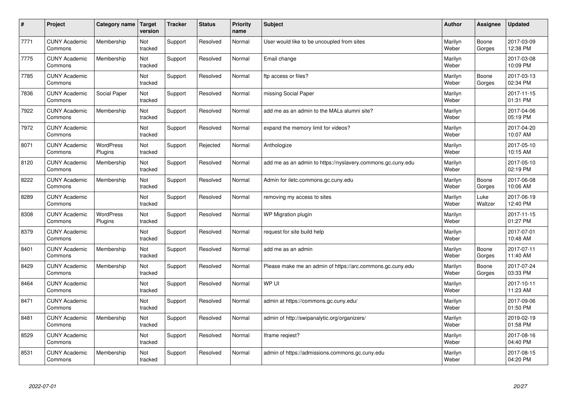| #    | Project                         | Category name        | <b>Target</b><br>version | <b>Tracker</b> | <b>Status</b> | <b>Priority</b><br>name | <b>Subject</b>                                              | <b>Author</b>    | Assignee        | <b>Updated</b>         |
|------|---------------------------------|----------------------|--------------------------|----------------|---------------|-------------------------|-------------------------------------------------------------|------------------|-----------------|------------------------|
| 7771 | <b>CUNY Academic</b><br>Commons | Membership           | Not<br>tracked           | Support        | Resolved      | Normal                  | User would like to be uncoupled from sites                  | Marilyn<br>Weber | Boone<br>Gorges | 2017-03-09<br>12:38 PM |
| 7775 | <b>CUNY Academic</b><br>Commons | Membership           | Not<br>tracked           | Support        | Resolved      | Normal                  | Email change                                                | Marilyn<br>Weber |                 | 2017-03-08<br>10:09 PM |
| 7785 | <b>CUNY Academic</b><br>Commons |                      | Not<br>tracked           | Support        | Resolved      | Normal                  | ftp access or files?                                        | Marilyn<br>Weber | Boone<br>Gorges | 2017-03-13<br>02:34 PM |
| 7836 | <b>CUNY Academic</b><br>Commons | Social Paper         | Not<br>tracked           | Support        | Resolved      | Normal                  | missing Social Paper                                        | Marilyn<br>Weber |                 | 2017-11-15<br>01:31 PM |
| 7922 | <b>CUNY Academic</b><br>Commons | Membership           | Not<br>tracked           | Support        | Resolved      | Normal                  | add me as an admin to the MALs alumni site?                 | Marilyn<br>Weber |                 | 2017-04-06<br>05:19 PM |
| 7972 | <b>CUNY Academic</b><br>Commons |                      | Not<br>tracked           | Support        | Resolved      | Normal                  | expand the memory limit for videos?                         | Marilyn<br>Weber |                 | 2017-04-20<br>10:07 AM |
| 8071 | <b>CUNY Academic</b><br>Commons | WordPress<br>Plugins | Not<br>tracked           | Support        | Rejected      | Normal                  | Anthologize                                                 | Marilyn<br>Weber |                 | 2017-05-10<br>10:15 AM |
| 8120 | <b>CUNY Academic</b><br>Commons | Membership           | Not<br>tracked           | Support        | Resolved      | Normal                  | add me as an admin to https://nyslavery.commons.gc.cuny.edu | Marilyn<br>Weber |                 | 2017-05-10<br>02:19 PM |
| 8222 | <b>CUNY Academic</b><br>Commons | Membership           | Not<br>tracked           | Support        | Resolved      | Normal                  | Admin for iletc.commons.gc.cuny.edu                         | Marilyn<br>Weber | Boone<br>Gorges | 2017-06-08<br>10:06 AM |
| 8289 | <b>CUNY Academic</b><br>Commons |                      | Not<br>tracked           | Support        | Resolved      | Normal                  | removing my access to sites                                 | Marilyn<br>Weber | Luke<br>Waltzer | 2017-06-19<br>12:40 PM |
| 8308 | <b>CUNY Academic</b><br>Commons | WordPress<br>Plugins | Not<br>tracked           | Support        | Resolved      | Normal                  | WP Migration plugin                                         | Marilyn<br>Weber |                 | 2017-11-15<br>01:27 PM |
| 8379 | <b>CUNY Academic</b><br>Commons |                      | Not<br>tracked           | Support        | Resolved      | Normal                  | request for site build help                                 | Marilyn<br>Weber |                 | 2017-07-01<br>10:48 AM |
| 8401 | <b>CUNY Academic</b><br>Commons | Membership           | Not<br>tracked           | Support        | Resolved      | Normal                  | add me as an admin                                          | Marilyn<br>Weber | Boone<br>Gorges | 2017-07-11<br>11:40 AM |
| 8429 | <b>CUNY Academic</b><br>Commons | Membership           | Not<br>tracked           | Support        | Resolved      | Normal                  | Please make me an admin of https://arc.commons.gc.cuny.edu  | Marilyn<br>Weber | Boone<br>Gorges | 2017-07-24<br>03:33 PM |
| 8464 | <b>CUNY Academic</b><br>Commons |                      | Not<br>tracked           | Support        | Resolved      | Normal                  | WP UI                                                       | Marilyn<br>Weber |                 | 2017-10-11<br>11:23 AM |
| 8471 | <b>CUNY Academic</b><br>Commons |                      | Not<br>tracked           | Support        | Resolved      | Normal                  | admin at https://commons.gc.cuny.edu/                       | Marilyn<br>Weber |                 | 2017-09-06<br>01:50 PM |
| 8481 | <b>CUNY Academic</b><br>Commons | Membership           | Not<br>tracked           | Support        | Resolved      | Normal                  | admin of http://swipanalytic.org/organizers/                | Marilyn<br>Weber |                 | 2019-02-19<br>01:58 PM |
| 8529 | <b>CUNY Academic</b><br>Commons |                      | Not<br>tracked           | Support        | Resolved      | Normal                  | lframe regiest?                                             | Marilyn<br>Weber |                 | 2017-08-16<br>04:40 PM |
| 8531 | <b>CUNY Academic</b><br>Commons | Membership           | Not<br>tracked           | Support        | Resolved      | Normal                  | admin of https://admissions.commons.gc.cuny.edu             | Marilyn<br>Weber |                 | 2017-08-15<br>04:20 PM |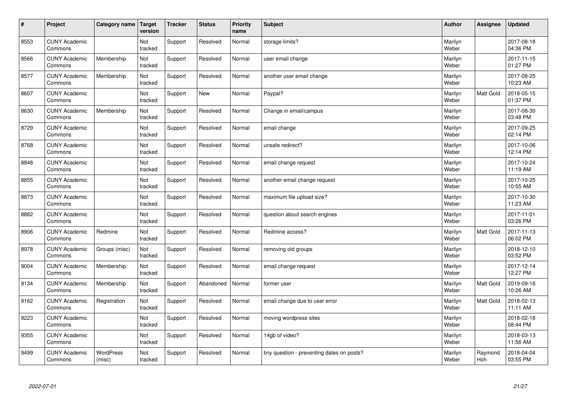| $\sharp$ | Project                         | Category name       | <b>Target</b><br>version | <b>Tracker</b> | <b>Status</b> | Priority<br>name | <b>Subject</b>                             | <b>Author</b>    | Assignee       | <b>Updated</b>         |
|----------|---------------------------------|---------------------|--------------------------|----------------|---------------|------------------|--------------------------------------------|------------------|----------------|------------------------|
| 8553     | <b>CUNY Academic</b><br>Commons |                     | Not<br>tracked           | Support        | Resolved      | Normal           | storage limits?                            | Marilyn<br>Weber |                | 2017-08-18<br>04:36 PM |
| 8566     | <b>CUNY Academic</b><br>Commons | Membership          | Not<br>tracked           | Support        | Resolved      | Normal           | user email change                          | Marilyn<br>Weber |                | 2017-11-15<br>01:27 PM |
| 8577     | <b>CUNY Academic</b><br>Commons | Membership          | Not<br>tracked           | Support        | Resolved      | Normal           | another user email change                  | Marilyn<br>Weber |                | 2017-08-25<br>10:23 AM |
| 8607     | <b>CUNY Academic</b><br>Commons |                     | Not<br>tracked           | Support        | <b>New</b>    | Normal           | Paypal?                                    | Marilyn<br>Weber | Matt Gold      | 2018-05-15<br>01:37 PM |
| 8630     | <b>CUNY Academic</b><br>Commons | Membership          | Not<br>tracked           | Support        | Resolved      | Normal           | Change in email/campus                     | Marilyn<br>Weber |                | 2017-08-30<br>03:48 PM |
| 8729     | <b>CUNY Academic</b><br>Commons |                     | Not<br>tracked           | Support        | Resolved      | Normal           | email change                               | Marilyn<br>Weber |                | 2017-09-25<br>02:14 PM |
| 8768     | <b>CUNY Academic</b><br>Commons |                     | Not<br>tracked           | Support        | Resolved      | Normal           | unsafe redirect?                           | Marilyn<br>Weber |                | 2017-10-06<br>12:14 PM |
| 8848     | <b>CUNY Academic</b><br>Commons |                     | Not<br>tracked           | Support        | Resolved      | Normal           | email change request                       | Marilyn<br>Weber |                | 2017-10-24<br>11:19 AM |
| 8855     | <b>CUNY Academic</b><br>Commons |                     | Not<br>tracked           | Support        | Resolved      | Normal           | another email change request               | Marilyn<br>Weber |                | 2017-10-25<br>10:55 AM |
| 8873     | <b>CUNY Academic</b><br>Commons |                     | Not<br>tracked           | Support        | Resolved      | Normal           | maximum file upload size?                  | Marilyn<br>Weber |                | 2017-10-30<br>11:23 AM |
| 8882     | <b>CUNY Academic</b><br>Commons |                     | Not<br>tracked           | Support        | Resolved      | Normal           | question about search engines              | Marilyn<br>Weber |                | 2017-11-01<br>03:26 PM |
| 8906     | <b>CUNY Academic</b><br>Commons | Redmine             | Not<br>tracked           | Support        | Resolved      | Normal           | Redmine access?                            | Marilyn<br>Weber | Matt Gold      | 2017-11-13<br>06:02 PM |
| 8978     | <b>CUNY Academic</b><br>Commons | Groups (misc)       | Not<br>tracked           | Support        | Resolved      | Normal           | removing old groups                        | Marilyn<br>Weber |                | 2018-12-10<br>03:52 PM |
| 9004     | <b>CUNY Academic</b><br>Commons | Membership          | Not<br>tracked           | Support        | Resolved      | Normal           | email change request                       | Marilyn<br>Weber |                | 2017-12-14<br>12:27 PM |
| 9134     | <b>CUNY Academic</b><br>Commons | Membership          | Not<br>tracked           | Support        | Abandoned     | Normal           | former user                                | Marilyn<br>Weber | Matt Gold      | 2019-09-18<br>10:26 AM |
| 9162     | <b>CUNY Academic</b><br>Commons | Registration        | <b>Not</b><br>tracked    | Support        | Resolved      | Normal           | email change due to user error             | Marilyn<br>Weber | Matt Gold      | 2018-02-13<br>11:11 AM |
| 9223     | <b>CUNY Academic</b><br>Commons |                     | Not<br>tracked           | Support        | Resolved      | Normal           | moving wordpress sites                     | Marilyn<br>Weber |                | 2018-02-18<br>08:44 PM |
| 9355     | <b>CUNY Academic</b><br>Commons |                     | Not<br>tracked           | Support        | Resolved      | Normal           | 14gb of video?                             | Marilyn<br>Weber |                | 2018-03-13<br>11:56 AM |
| 9499     | <b>CUNY Academic</b><br>Commons | WordPress<br>(misc) | Not<br>tracked           | Support        | Resolved      | Normal           | tiny question - preventing dates on posts? | Marilyn<br>Weber | Raymond<br>Hoh | 2018-04-04<br>03:55 PM |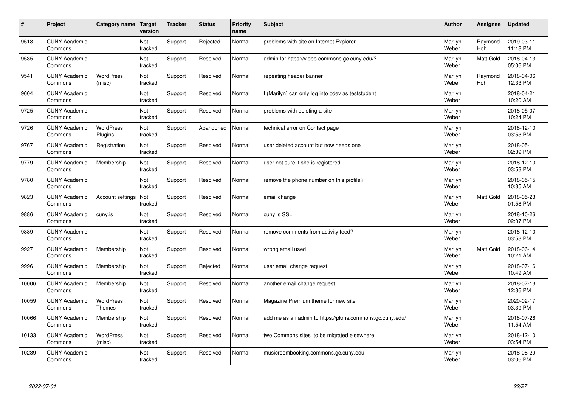| $\vert$ # | Project                         | Category name                     | <b>Target</b><br>version | <b>Tracker</b> | <b>Status</b> | Priority<br>name | <b>Subject</b>                                          | <b>Author</b>    | Assignee       | <b>Updated</b>         |
|-----------|---------------------------------|-----------------------------------|--------------------------|----------------|---------------|------------------|---------------------------------------------------------|------------------|----------------|------------------------|
| 9518      | <b>CUNY Academic</b><br>Commons |                                   | Not<br>tracked           | Support        | Rejected      | Normal           | problems with site on Internet Explorer                 | Marilyn<br>Weber | Raymond<br>Hoh | 2019-03-11<br>11:18 PM |
| 9535      | <b>CUNY Academic</b><br>Commons |                                   | Not<br>tracked           | Support        | Resolved      | Normal           | admin for https://video.commons.gc.cuny.edu/?           | Marilyn<br>Weber | Matt Gold      | 2018-04-13<br>05:06 PM |
| 9541      | <b>CUNY Academic</b><br>Commons | <b>WordPress</b><br>(misc)        | Not<br>tracked           | Support        | Resolved      | Normal           | repeating header banner                                 | Marilyn<br>Weber | Raymond<br>Hoh | 2018-04-06<br>12:33 PM |
| 9604      | <b>CUNY Academic</b><br>Commons |                                   | Not<br>tracked           | Support        | Resolved      | Normal           | (Marilyn) can only log into cdev as teststudent         | Marilyn<br>Weber |                | 2018-04-21<br>10:20 AM |
| 9725      | <b>CUNY Academic</b><br>Commons |                                   | Not<br>tracked           | Support        | Resolved      | Normal           | problems with deleting a site                           | Marilyn<br>Weber |                | 2018-05-07<br>10:24 PM |
| 9726      | <b>CUNY Academic</b><br>Commons | <b>WordPress</b><br>Plugins       | Not<br>tracked           | Support        | Abandoned     | Normal           | technical error on Contact page                         | Marilyn<br>Weber |                | 2018-12-10<br>03:53 PM |
| 9767      | <b>CUNY Academic</b><br>Commons | Registration                      | Not<br>tracked           | Support        | Resolved      | Normal           | user deleted account but now needs one                  | Marilyn<br>Weber |                | 2018-05-11<br>02:39 PM |
| 9779      | <b>CUNY Academic</b><br>Commons | Membership                        | Not<br>tracked           | Support        | Resolved      | Normal           | user not sure if she is registered.                     | Marilyn<br>Weber |                | 2018-12-10<br>03:53 PM |
| 9780      | <b>CUNY Academic</b><br>Commons |                                   | Not<br>tracked           | Support        | Resolved      | Normal           | remove the phone number on this profile?                | Marilyn<br>Weber |                | 2018-05-15<br>10:35 AM |
| 9823      | <b>CUNY Academic</b><br>Commons | Account settings                  | Not<br>tracked           | Support        | Resolved      | Normal           | email change                                            | Marilyn<br>Weber | Matt Gold      | 2018-05-23<br>01:58 PM |
| 9886      | <b>CUNY Academic</b><br>Commons | cuny.is                           | Not<br>tracked           | Support        | Resolved      | Normal           | cuny.is SSL                                             | Marilyn<br>Weber |                | 2018-10-26<br>02:07 PM |
| 9889      | <b>CUNY Academic</b><br>Commons |                                   | Not<br>tracked           | Support        | Resolved      | Normal           | remove comments from activity feed?                     | Marilyn<br>Weber |                | 2018-12-10<br>03:53 PM |
| 9927      | <b>CUNY Academic</b><br>Commons | Membership                        | Not<br>tracked           | Support        | Resolved      | Normal           | wrong email used                                        | Marilyn<br>Weber | Matt Gold      | 2018-06-14<br>10:21 AM |
| 9996      | <b>CUNY Academic</b><br>Commons | Membership                        | Not<br>tracked           | Support        | Rejected      | Normal           | user email change request                               | Marilyn<br>Weber |                | 2018-07-16<br>10:49 AM |
| 10006     | <b>CUNY Academic</b><br>Commons | Membership                        | Not<br>tracked           | Support        | Resolved      | Normal           | another email change request                            | Marilyn<br>Weber |                | 2018-07-13<br>12:36 PM |
| 10059     | <b>CUNY Academic</b><br>Commons | <b>WordPress</b><br><b>Themes</b> | Not<br>tracked           | Support        | Resolved      | Normal           | Magazine Premium theme for new site                     | Marilyn<br>Weber |                | 2020-02-17<br>03:39 PM |
| 10066     | <b>CUNY Academic</b><br>Commons | Membership                        | Not<br>tracked           | Support        | Resolved      | Normal           | add me as an admin to https://pkms.commons.gc.cuny.edu/ | Marilyn<br>Weber |                | 2018-07-26<br>11:54 AM |
| 10133     | <b>CUNY Academic</b><br>Commons | WordPress<br>(misc)               | Not<br>tracked           | Support        | Resolved      | Normal           | two Commons sites to be migrated elsewhere              | Marilyn<br>Weber |                | 2018-12-10<br>03:54 PM |
| 10239     | <b>CUNY Academic</b><br>Commons |                                   | Not<br>tracked           | Support        | Resolved      | Normal           | musicroombooking.commons.gc.cuny.edu                    | Marilyn<br>Weber |                | 2018-08-29<br>03:06 PM |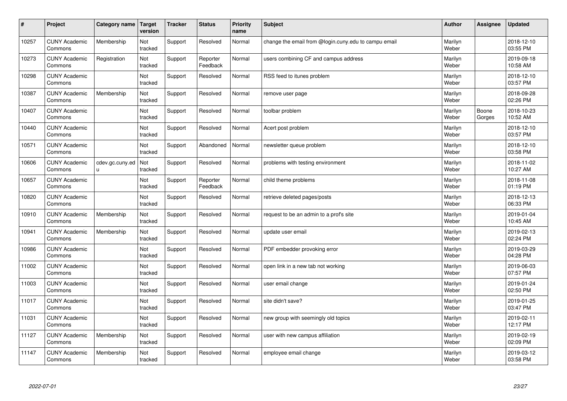| $\vert$ # | Project                         | Category name                   | <b>Target</b><br>version | <b>Tracker</b> | <b>Status</b>        | <b>Priority</b><br>name | Subject                                              | <b>Author</b>    | Assignee        | <b>Updated</b>         |
|-----------|---------------------------------|---------------------------------|--------------------------|----------------|----------------------|-------------------------|------------------------------------------------------|------------------|-----------------|------------------------|
| 10257     | <b>CUNY Academic</b><br>Commons | Membership                      | Not<br>tracked           | Support        | Resolved             | Normal                  | change the email from @login.cuny.edu to campu email | Marilyn<br>Weber |                 | 2018-12-10<br>03:55 PM |
| 10273     | <b>CUNY Academic</b><br>Commons | Registration                    | Not<br>tracked           | Support        | Reporter<br>Feedback | Normal                  | users combining CF and campus address                | Marilyn<br>Weber |                 | 2019-09-18<br>10:58 AM |
| 10298     | <b>CUNY Academic</b><br>Commons |                                 | Not<br>tracked           | Support        | Resolved             | Normal                  | RSS feed to itunes problem                           | Marilyn<br>Weber |                 | 2018-12-10<br>03:57 PM |
| 10387     | <b>CUNY Academic</b><br>Commons | Membership                      | Not<br>tracked           | Support        | Resolved             | Normal                  | remove user page                                     | Marilyn<br>Weber |                 | 2018-09-28<br>02:26 PM |
| 10407     | <b>CUNY Academic</b><br>Commons |                                 | <b>Not</b><br>tracked    | Support        | Resolved             | Normal                  | toolbar problem                                      | Marilyn<br>Weber | Boone<br>Gorges | 2018-10-23<br>10:52 AM |
| 10440     | <b>CUNY Academic</b><br>Commons |                                 | Not<br>tracked           | Support        | Resolved             | Normal                  | Acert post problem                                   | Marilyn<br>Weber |                 | 2018-12-10<br>03:57 PM |
| 10571     | <b>CUNY Academic</b><br>Commons |                                 | Not<br>tracked           | Support        | Abandoned            | Normal                  | newsletter queue problem                             | Marilyn<br>Weber |                 | 2018-12-10<br>03:58 PM |
| 10606     | <b>CUNY Academic</b><br>Commons | cdev.gc.cuny.ed<br>$\mathsf{u}$ | Not<br>tracked           | Support        | Resolved             | Normal                  | problems with testing environment                    | Marilyn<br>Weber |                 | 2018-11-02<br>10:27 AM |
| 10657     | <b>CUNY Academic</b><br>Commons |                                 | Not<br>tracked           | Support        | Reporter<br>Feedback | Normal                  | child theme problems                                 | Marilyn<br>Weber |                 | 2018-11-08<br>01:19 PM |
| 10820     | <b>CUNY Academic</b><br>Commons |                                 | Not<br>tracked           | Support        | Resolved             | Normal                  | retrieve deleted pages/posts                         | Marilyn<br>Weber |                 | 2018-12-13<br>06:33 PM |
| 10910     | <b>CUNY Academic</b><br>Commons | Membership                      | Not<br>tracked           | Support        | Resolved             | Normal                  | request to be an admin to a prof's site              | Marilyn<br>Weber |                 | 2019-01-04<br>10:45 AM |
| 10941     | <b>CUNY Academic</b><br>Commons | Membership                      | Not<br>tracked           | Support        | Resolved             | Normal                  | update user email                                    | Marilyn<br>Weber |                 | 2019-02-13<br>02:24 PM |
| 10986     | <b>CUNY Academic</b><br>Commons |                                 | Not<br>tracked           | Support        | Resolved             | Normal                  | PDF embedder provoking error                         | Marilyn<br>Weber |                 | 2019-03-29<br>04:28 PM |
| 11002     | <b>CUNY Academic</b><br>Commons |                                 | Not<br>tracked           | Support        | Resolved             | Normal                  | open link in a new tab not working                   | Marilyn<br>Weber |                 | 2019-06-03<br>07:57 PM |
| 11003     | <b>CUNY Academic</b><br>Commons |                                 | Not<br>tracked           | Support        | Resolved             | Normal                  | user email change                                    | Marilyn<br>Weber |                 | 2019-01-24<br>02:50 PM |
| 11017     | <b>CUNY Academic</b><br>Commons |                                 | Not<br>tracked           | Support        | Resolved             | Normal                  | site didn't save?                                    | Marilyn<br>Weber |                 | 2019-01-25<br>03:47 PM |
| 11031     | <b>CUNY Academic</b><br>Commons |                                 | Not<br>tracked           | Support        | Resolved             | Normal                  | new group with seemingly old topics                  | Marilyn<br>Weber |                 | 2019-02-11<br>12:17 PM |
| 11127     | <b>CUNY Academic</b><br>Commons | Membership                      | Not<br>tracked           | Support        | Resolved             | Normal                  | user with new campus affiliation                     | Marilyn<br>Weber |                 | 2019-02-19<br>02:09 PM |
| 11147     | <b>CUNY Academic</b><br>Commons | Membership                      | Not<br>tracked           | Support        | Resolved             | Normal                  | employee email change                                | Marilyn<br>Weber |                 | 2019-03-12<br>03:58 PM |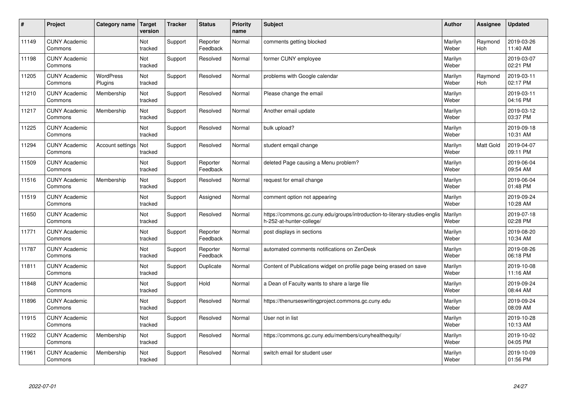| #     | Project                         | Category name               | Target<br>version | <b>Tracker</b> | <b>Status</b>        | <b>Priority</b><br>name | <b>Subject</b>                                                                                         | <b>Author</b>    | Assignee              | <b>Updated</b>         |
|-------|---------------------------------|-----------------------------|-------------------|----------------|----------------------|-------------------------|--------------------------------------------------------------------------------------------------------|------------------|-----------------------|------------------------|
| 11149 | <b>CUNY Academic</b><br>Commons |                             | Not<br>tracked    | Support        | Reporter<br>Feedback | Normal                  | comments getting blocked                                                                               | Marilyn<br>Weber | Raymond<br><b>Hoh</b> | 2019-03-26<br>11:40 AM |
| 11198 | <b>CUNY Academic</b><br>Commons |                             | Not<br>tracked    | Support        | Resolved             | Normal                  | former CUNY employee                                                                                   | Marilyn<br>Weber |                       | 2019-03-07<br>02:21 PM |
| 11205 | <b>CUNY Academic</b><br>Commons | <b>WordPress</b><br>Plugins | Not<br>tracked    | Support        | Resolved             | Normal                  | problems with Google calendar                                                                          | Marilyn<br>Weber | Raymond<br>Hoh        | 2019-03-11<br>02:17 PM |
| 11210 | <b>CUNY Academic</b><br>Commons | Membership                  | Not<br>tracked    | Support        | Resolved             | Normal                  | Please change the email                                                                                | Marilyn<br>Weber |                       | 2019-03-11<br>04:16 PM |
| 11217 | <b>CUNY Academic</b><br>Commons | Membership                  | Not<br>tracked    | Support        | Resolved             | Normal                  | Another email update                                                                                   | Marilyn<br>Weber |                       | 2019-03-12<br>03:37 PM |
| 11225 | <b>CUNY Academic</b><br>Commons |                             | Not<br>tracked    | Support        | Resolved             | Normal                  | bulk upload?                                                                                           | Marilyn<br>Weber |                       | 2019-09-18<br>10:31 AM |
| 11294 | <b>CUNY Academic</b><br>Commons | Account settings            | Not<br>tracked    | Support        | Resolved             | Normal                  | student emgail change                                                                                  | Marilyn<br>Weber | Matt Gold             | 2019-04-07<br>09:11 PM |
| 11509 | <b>CUNY Academic</b><br>Commons |                             | Not<br>tracked    | Support        | Reporter<br>Feedback | Normal                  | deleted Page causing a Menu problem?                                                                   | Marilyn<br>Weber |                       | 2019-06-04<br>09:54 AM |
| 11516 | <b>CUNY Academic</b><br>Commons | Membership                  | Not<br>tracked    | Support        | Resolved             | Normal                  | request for email change                                                                               | Marilyn<br>Weber |                       | 2019-06-04<br>01:48 PM |
| 11519 | <b>CUNY Academic</b><br>Commons |                             | Not<br>tracked    | Support        | Assigned             | Normal                  | comment option not appearing                                                                           | Marilyn<br>Weber |                       | 2019-09-24<br>10:28 AM |
| 11650 | <b>CUNY Academic</b><br>Commons |                             | Not<br>tracked    | Support        | Resolved             | Normal                  | https://commons.gc.cuny.edu/groups/introduction-to-literary-studies-englis<br>h-252-at-hunter-college/ | Marilyn<br>Weber |                       | 2019-07-18<br>02:28 PM |
| 11771 | <b>CUNY Academic</b><br>Commons |                             | Not<br>tracked    | Support        | Reporter<br>Feedback | Normal                  | post displays in sections                                                                              | Marilyn<br>Weber |                       | 2019-08-20<br>10:34 AM |
| 11787 | <b>CUNY Academic</b><br>Commons |                             | Not<br>tracked    | Support        | Reporter<br>Feedback | Normal                  | automated comments notifications on ZenDesk                                                            | Marilyn<br>Weber |                       | 2019-08-26<br>06:18 PM |
| 11811 | <b>CUNY Academic</b><br>Commons |                             | Not<br>tracked    | Support        | Duplicate            | Normal                  | Content of Publications widget on profile page being erased on save                                    | Marilyn<br>Weber |                       | 2019-10-08<br>11:16 AM |
| 11848 | <b>CUNY Academic</b><br>Commons |                             | Not<br>tracked    | Support        | Hold                 | Normal                  | a Dean of Faculty wants to share a large file                                                          | Marilyn<br>Weber |                       | 2019-09-24<br>08:44 AM |
| 11896 | <b>CUNY Academic</b><br>Commons |                             | Not<br>tracked    | Support        | Resolved             | Normal                  | https://thenurseswritingproject.commons.gc.cuny.edu                                                    | Marilyn<br>Weber |                       | 2019-09-24<br>08:09 AM |
| 11915 | <b>CUNY Academic</b><br>Commons |                             | Not<br>tracked    | Support        | Resolved             | Normal                  | User not in list                                                                                       | Marilyn<br>Weber |                       | 2019-10-28<br>10:13 AM |
| 11922 | <b>CUNY Academic</b><br>Commons | Membership                  | Not<br>tracked    | Support        | Resolved             | Normal                  | https://commons.gc.cuny.edu/members/cunyhealthequity/                                                  | Marilyn<br>Weber |                       | 2019-10-02<br>04:05 PM |
| 11961 | <b>CUNY Academic</b><br>Commons | Membership                  | Not<br>tracked    | Support        | Resolved             | Normal                  | switch email for student user                                                                          | Marilyn<br>Weber |                       | 2019-10-09<br>01:56 PM |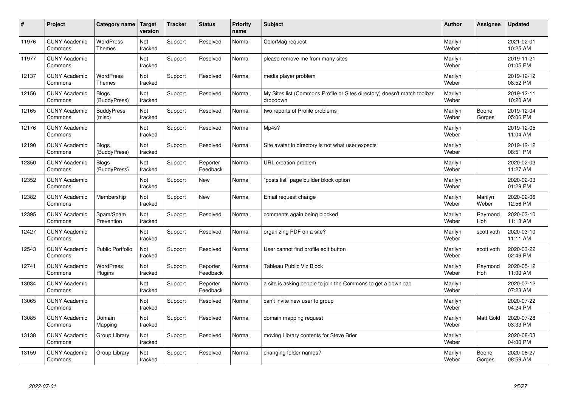| $\sharp$ | Project                         | Category name                | <b>Target</b><br>version | <b>Tracker</b> | <b>Status</b>        | <b>Priority</b><br>name | <b>Subject</b>                                                                       | <b>Author</b>    | <b>Assignee</b>  | <b>Updated</b>         |
|----------|---------------------------------|------------------------------|--------------------------|----------------|----------------------|-------------------------|--------------------------------------------------------------------------------------|------------------|------------------|------------------------|
| 11976    | <b>CUNY Academic</b><br>Commons | WordPress<br>Themes          | Not<br>tracked           | Support        | Resolved             | Normal                  | ColorMag request                                                                     | Marilyn<br>Weber |                  | 2021-02-01<br>10:25 AM |
| 11977    | <b>CUNY Academic</b><br>Commons |                              | Not<br>tracked           | Support        | Resolved             | Normal                  | please remove me from many sites                                                     | Marilyn<br>Weber |                  | 2019-11-21<br>01:05 PM |
| 12137    | <b>CUNY Academic</b><br>Commons | WordPress<br><b>Themes</b>   | Not<br>tracked           | Support        | Resolved             | Normal                  | media player problem                                                                 | Marilyn<br>Weber |                  | 2019-12-12<br>08:52 PM |
| 12156    | <b>CUNY Academic</b><br>Commons | <b>Blogs</b><br>(BuddyPress) | Not<br>tracked           | Support        | Resolved             | Normal                  | My Sites list (Commons Profile or Sites directory) doesn't match toolbar<br>dropdown | Marilyn<br>Weber |                  | 2019-12-11<br>10:20 AM |
| 12165    | <b>CUNY Academic</b><br>Commons | <b>BuddyPress</b><br>(misc)  | Not<br>tracked           | Support        | Resolved             | Normal                  | two reports of Profile problems                                                      | Marilyn<br>Weber | Boone<br>Gorges  | 2019-12-04<br>05:06 PM |
| 12176    | <b>CUNY Academic</b><br>Commons |                              | Not<br>tracked           | Support        | Resolved             | Normal                  | Mp4s?                                                                                | Marilyn<br>Weber |                  | 2019-12-05<br>11:04 AM |
| 12190    | <b>CUNY Academic</b><br>Commons | <b>Blogs</b><br>(BuddyPress) | Not<br>tracked           | Support        | Resolved             | Normal                  | Site avatar in directory is not what user expects                                    | Marilyn<br>Weber |                  | 2019-12-12<br>08:51 PM |
| 12350    | <b>CUNY Academic</b><br>Commons | <b>Blogs</b><br>(BuddyPress) | Not<br>tracked           | Support        | Reporter<br>Feedback | Normal                  | URL creation problem                                                                 | Marilyn<br>Weber |                  | 2020-02-03<br>11:27 AM |
| 12352    | <b>CUNY Academic</b><br>Commons |                              | Not<br>tracked           | Support        | New                  | Normal                  | "posts list" page builder block option                                               | Marilyn<br>Weber |                  | 2020-02-03<br>01:29 PM |
| 12382    | <b>CUNY Academic</b><br>Commons | Membership                   | Not<br>tracked           | Support        | <b>New</b>           | Normal                  | Email request change                                                                 | Marilyn<br>Weber | Marilyn<br>Weber | 2020-02-06<br>12:56 PM |
| 12395    | <b>CUNY Academic</b><br>Commons | Spam/Spam<br>Prevention      | Not<br>tracked           | Support        | Resolved             | Normal                  | comments again being blocked                                                         | Marilyn<br>Weber | Raymond<br>Hoh   | 2020-03-10<br>11:13 AM |
| 12427    | <b>CUNY Academic</b><br>Commons |                              | Not<br>tracked           | Support        | Resolved             | Normal                  | organizing PDF on a site?                                                            | Marilyn<br>Weber | scott voth       | 2020-03-10<br>11:11 AM |
| 12543    | <b>CUNY Academic</b><br>Commons | <b>Public Portfolio</b>      | Not<br>tracked           | Support        | Resolved             | Normal                  | User cannot find profile edit button                                                 | Marilyn<br>Weber | scott voth       | 2020-03-22<br>02:49 PM |
| 12741    | <b>CUNY Academic</b><br>Commons | <b>WordPress</b><br>Plugins  | Not<br>tracked           | Support        | Reporter<br>Feedback | Normal                  | Tableau Public Viz Block                                                             | Marilyn<br>Weber | Raymond<br>Hoh   | 2020-05-12<br>11:00 AM |
| 13034    | <b>CUNY Academic</b><br>Commons |                              | Not<br>tracked           | Support        | Reporter<br>Feedback | Normal                  | a site is asking people to join the Commons to get a download                        | Marilyn<br>Weber |                  | 2020-07-12<br>07:23 AM |
| 13065    | <b>CUNY Academic</b><br>Commons |                              | Not<br>tracked           | Support        | Resolved             | Normal                  | can't invite new user to group                                                       | Marilyn<br>Weber |                  | 2020-07-22<br>04:24 PM |
| 13085    | <b>CUNY Academic</b><br>Commons | Domain<br>Mapping            | Not<br>tracked           | Support        | Resolved             | Normal                  | domain mapping request                                                               | Marilyn<br>Weber | Matt Gold        | 2020-07-28<br>03:33 PM |
| 13138    | <b>CUNY Academic</b><br>Commons | Group Library                | Not<br>tracked           | Support        | Resolved             | Normal                  | moving Library contents for Steve Brier                                              | Marilyn<br>Weber |                  | 2020-08-03<br>04:00 PM |
| 13159    | <b>CUNY Academic</b><br>Commons | Group Library                | Not<br>tracked           | Support        | Resolved             | Normal                  | changing folder names?                                                               | Marilyn<br>Weber | Boone<br>Gorges  | 2020-08-27<br>08:59 AM |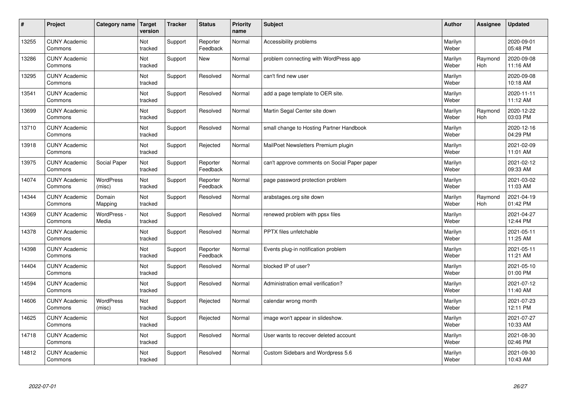| $\sharp$ | Project                         | Category name        | <b>Target</b><br>version | <b>Tracker</b> | <b>Status</b>        | Priority<br>name | <b>Subject</b>                               | <b>Author</b>    | <b>Assignee</b> | <b>Updated</b>         |
|----------|---------------------------------|----------------------|--------------------------|----------------|----------------------|------------------|----------------------------------------------|------------------|-----------------|------------------------|
| 13255    | <b>CUNY Academic</b><br>Commons |                      | Not<br>tracked           | Support        | Reporter<br>Feedback | Normal           | Accessibility problems                       | Marilyn<br>Weber |                 | 2020-09-01<br>05:48 PM |
| 13286    | <b>CUNY Academic</b><br>Commons |                      | Not<br>tracked           | Support        | New                  | Normal           | problem connecting with WordPress app        | Marilyn<br>Weber | Raymond<br>Hoh  | 2020-09-08<br>11:16 AM |
| 13295    | <b>CUNY Academic</b><br>Commons |                      | Not<br>tracked           | Support        | Resolved             | Normal           | can't find new user                          | Marilyn<br>Weber |                 | 2020-09-08<br>10:18 AM |
| 13541    | <b>CUNY Academic</b><br>Commons |                      | Not<br>tracked           | Support        | Resolved             | Normal           | add a page template to OER site.             | Marilyn<br>Weber |                 | 2020-11-11<br>11:12 AM |
| 13699    | <b>CUNY Academic</b><br>Commons |                      | Not<br>tracked           | Support        | Resolved             | Normal           | Martin Segal Center site down                | Marilyn<br>Weber | Raymond<br>Hoh  | 2020-12-22<br>03:03 PM |
| 13710    | <b>CUNY Academic</b><br>Commons |                      | Not<br>tracked           | Support        | Resolved             | Normal           | small change to Hosting Partner Handbook     | Marilyn<br>Weber |                 | 2020-12-16<br>04:29 PM |
| 13918    | <b>CUNY Academic</b><br>Commons |                      | Not<br>tracked           | Support        | Rejected             | Normal           | MailPoet Newsletters Premium plugin          | Marilyn<br>Weber |                 | 2021-02-09<br>11:01 AM |
| 13975    | <b>CUNY Academic</b><br>Commons | Social Paper         | Not<br>tracked           | Support        | Reporter<br>Feedback | Normal           | can't approve comments on Social Paper paper | Marilyn<br>Weber |                 | 2021-02-12<br>09:33 AM |
| 14074    | <b>CUNY Academic</b><br>Commons | WordPress<br>(misc)  | Not<br>tracked           | Support        | Reporter<br>Feedback | Normal           | page password protection problem             | Marilyn<br>Weber |                 | 2021-03-02<br>11:03 AM |
| 14344    | <b>CUNY Academic</b><br>Commons | Domain<br>Mapping    | Not<br>tracked           | Support        | Resolved             | Normal           | arabstages.org site down                     | Marilyn<br>Weber | Raymond<br>Hoh  | 2021-04-19<br>01:42 PM |
| 14369    | <b>CUNY Academic</b><br>Commons | WordPress -<br>Media | Not<br>tracked           | Support        | Resolved             | Normal           | renewed problem with ppsx files              | Marilyn<br>Weber |                 | 2021-04-27<br>12:44 PM |
| 14378    | <b>CUNY Academic</b><br>Commons |                      | Not<br>tracked           | Support        | Resolved             | Normal           | PPTX files unfetchable                       | Marilyn<br>Weber |                 | 2021-05-11<br>11:25 AM |
| 14398    | <b>CUNY Academic</b><br>Commons |                      | Not<br>tracked           | Support        | Reporter<br>Feedback | Normal           | Events plug-in notification problem          | Marilyn<br>Weber |                 | 2021-05-11<br>11:21 AM |
| 14404    | <b>CUNY Academic</b><br>Commons |                      | Not<br>tracked           | Support        | Resolved             | Normal           | blocked IP of user?                          | Marilyn<br>Weber |                 | 2021-05-10<br>01:00 PM |
| 14594    | <b>CUNY Academic</b><br>Commons |                      | Not<br>tracked           | Support        | Resolved             | Normal           | Administration email verification?           | Marilyn<br>Weber |                 | 2021-07-12<br>11:40 AM |
| 14606    | <b>CUNY Academic</b><br>Commons | WordPress<br>(misc)  | Not<br>tracked           | Support        | Rejected             | Normal           | calendar wrong month                         | Marilyn<br>Weber |                 | 2021-07-23<br>12:11 PM |
| 14625    | <b>CUNY Academic</b><br>Commons |                      | Not<br>tracked           | Support        | Rejected             | Normal           | image won't appear in slideshow.             | Marilyn<br>Weber |                 | 2021-07-27<br>10:33 AM |
| 14718    | <b>CUNY Academic</b><br>Commons |                      | Not<br>tracked           | Support        | Resolved             | Normal           | User wants to recover deleted account        | Marilyn<br>Weber |                 | 2021-08-30<br>02:46 PM |
| 14812    | <b>CUNY Academic</b><br>Commons |                      | Not<br>tracked           | Support        | Resolved             | Normal           | Custom Sidebars and Wordpress 5.6            | Marilyn<br>Weber |                 | 2021-09-30<br>10:43 AM |